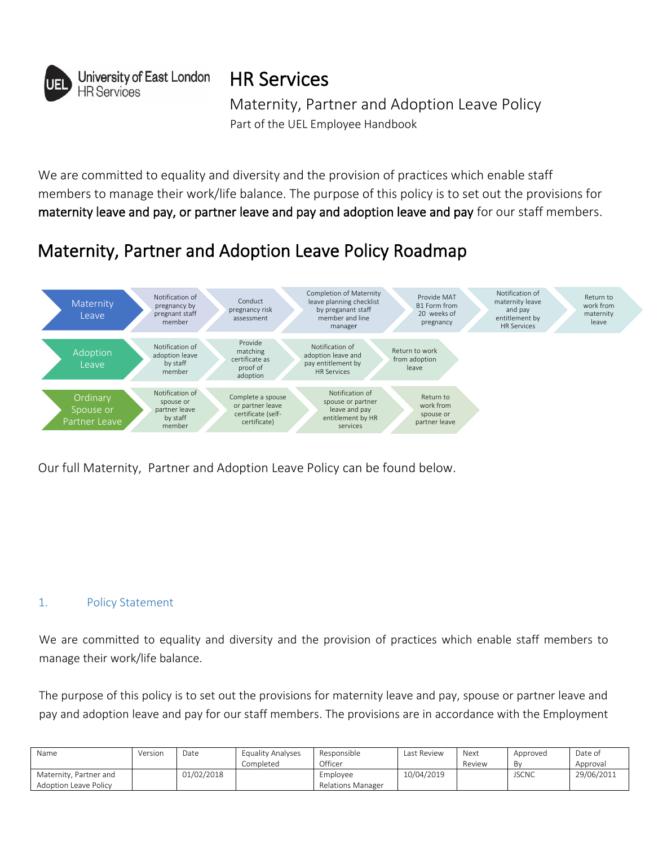

HR Services

Maternity, Partner and Adoption Leave Policy Part of the UEL Employee Handbook

We are committed to equality and diversity and the provision of practices which enable staff members to manage their work/life balance. The purpose of this policy is to set out the provisions for maternity leave and pay, or partner leave and pay and adoption leave and pay for our staff members.

# Maternity, Partner and Adoption Leave Policy Roadmap



Our full Maternity, Partner and Adoption Leave Policy can be found below.

## 1. Policy Statement

We are committed to equality and diversity and the provision of practices which enable staff members to manage their work/life balance.

The purpose of this policy is to set out the provisions for maternity leave and pay, spouse or partner leave and pay and adoption leave and pay for our staff members. The provisions are in accordance with the Employment

| Name                   | Version | Date       | Equality Analyses | Responsible       | Last Review | Next   | Approved     | Date of    |
|------------------------|---------|------------|-------------------|-------------------|-------------|--------|--------------|------------|
|                        |         |            | Completed         | Officer           |             | Review | B٧           | Approval   |
| Maternity, Partner and |         | 01/02/2018 |                   | Employee          | 10/04/2019  |        | <b>JSCNC</b> | 29/06/2011 |
| Adoption Leave Policy  |         |            |                   | Relations Manager |             |        |              |            |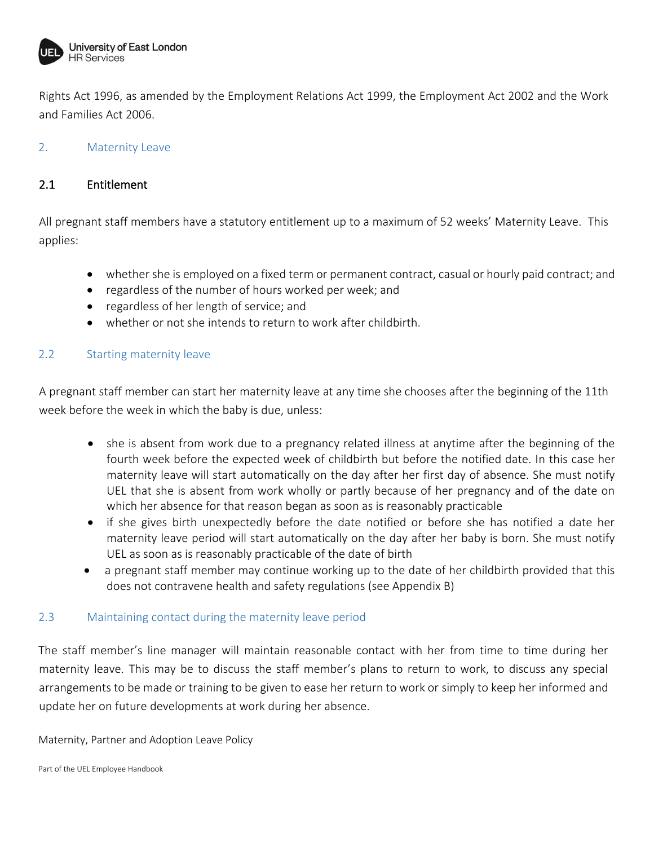

Rights Act 1996, as amended by the Employment Relations Act 1999, the Employment Act 2002 and the Work and Families Act 2006.

## 2. Maternity Leave

## 2.1 Entitlement

All pregnant staff members have a statutory entitlement up to a maximum of 52 weeks' Maternity Leave. This applies:

- whether she is employed on a fixed term or permanent contract, casual or hourly paid contract; and
- regardless of the number of hours worked per week; and
- regardless of her length of service; and
- whether or not she intends to return to work after childbirth.

#### 2.2 Starting maternity leave

A pregnant staff member can start her maternity leave at any time she chooses after the beginning of the 11th week before the week in which the baby is due, unless:

- she is absent from work due to a pregnancy related illness at anytime after the beginning of the fourth week before the expected week of childbirth but before the notified date. In this case her maternity leave will start automatically on the day after her first day of absence. She must notify UEL that she is absent from work wholly or partly because of her pregnancy and of the date on which her absence for that reason began as soon as is reasonably practicable
- if she gives birth unexpectedly before the date notified or before she has notified a date her maternity leave period will start automatically on the day after her baby is born. She must notify UEL as soon as is reasonably practicable of the date of birth
- a pregnant staff member may continue working up to the date of her childbirth provided that this does not contravene health and safety regulations (see Appendix B)

#### 2.3 Maintaining contact during the maternity leave period

The staff member's line manager will maintain reasonable contact with her from time to time during her maternity leave. This may be to discuss the staff member's plans to return to work, to discuss any special arrangements to be made or training to be given to ease her return to work or simply to keep her informed and update her on future developments at work during her absence.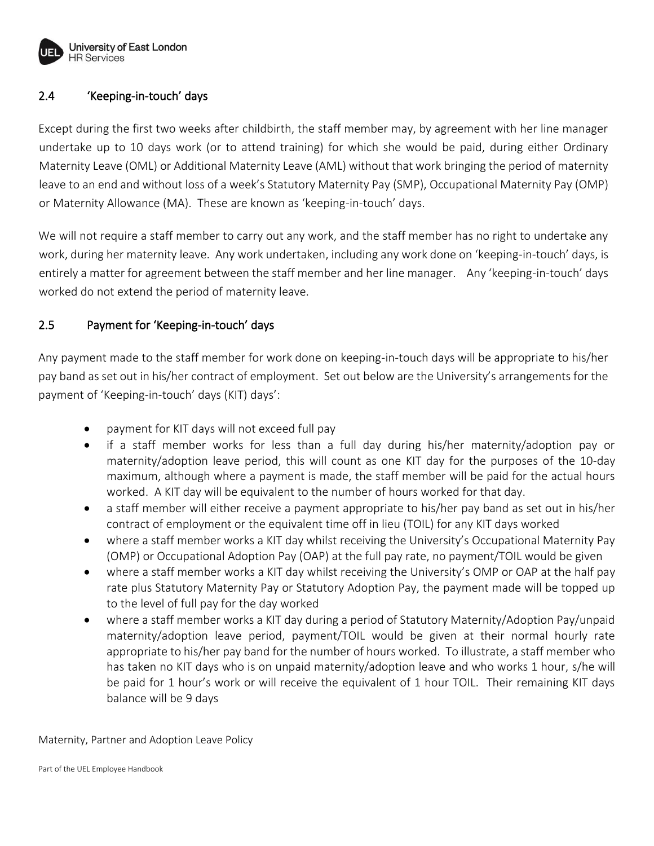

## 2.4 'Keeping-in-touch' days

Except during the first two weeks after childbirth, the staff member may, by agreement with her line manager undertake up to 10 days work (or to attend training) for which she would be paid, during either Ordinary Maternity Leave (OML) or Additional Maternity Leave (AML) without that work bringing the period of maternity leave to an end and without loss of a week's Statutory Maternity Pay (SMP), Occupational Maternity Pay (OMP) or Maternity Allowance (MA). These are known as 'keeping-in-touch' days.

We will not require a staff member to carry out any work, and the staff member has no right to undertake any work, during her maternity leave. Any work undertaken, including any work done on 'keeping-in-touch' days, is entirely a matter for agreement between the staff member and her line manager. Any 'keeping-in-touch' days worked do not extend the period of maternity leave.

## 2.5 Payment for 'Keeping-in-touch' days

Any payment made to the staff member for work done on keeping-in-touch days will be appropriate to his/her pay band as set out in his/her contract of employment. Set out below are the University's arrangements for the payment of 'Keeping-in-touch' days (KIT) days':

- payment for KIT days will not exceed full pay
- if a staff member works for less than a full day during his/her maternity/adoption pay or maternity/adoption leave period, this will count as one KIT day for the purposes of the 10-day maximum, although where a payment is made, the staff member will be paid for the actual hours worked. A KIT day will be equivalent to the number of hours worked for that day.
- a staff member will either receive a payment appropriate to his/her pay band as set out in his/her contract of employment or the equivalent time off in lieu (TOIL) for any KIT days worked
- where a staff member works a KIT day whilst receiving the University's Occupational Maternity Pay (OMP) or Occupational Adoption Pay (OAP) at the full pay rate, no payment/TOIL would be given
- where a staff member works a KIT day whilst receiving the University's OMP or OAP at the half pay rate plus Statutory Maternity Pay or Statutory Adoption Pay, the payment made will be topped up to the level of full pay for the day worked
- where a staff member works a KIT day during a period of Statutory Maternity/Adoption Pay/unpaid maternity/adoption leave period, payment/TOIL would be given at their normal hourly rate appropriate to his/her pay band for the number of hours worked. To illustrate, a staff member who has taken no KIT days who is on unpaid maternity/adoption leave and who works 1 hour, s/he will be paid for 1 hour's work or will receive the equivalent of 1 hour TOIL. Their remaining KIT days balance will be 9 days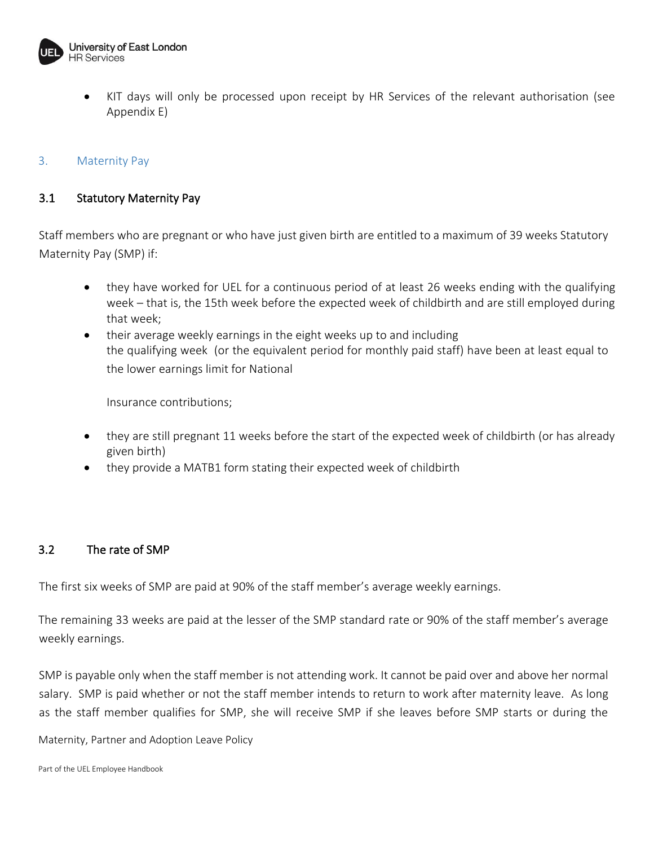

• KIT days will only be processed upon receipt by HR Services of the relevant authorisation (see Appendix E)

## 3. Maternity Pay

## 3.1 Statutory Maternity Pay

Staff members who are pregnant or who have just given birth are entitled to a maximum of 39 weeks Statutory Maternity Pay (SMP) if:

- they have worked for UEL for a continuous period of at least 26 weeks ending with the qualifying week – that is, the 15th week before the expected week of childbirth and are still employed during that week;
- their average weekly earnings in the eight weeks up to and including the qualifying week (or the equivalent period for monthly paid staff) have been at least equal to the lower earnings limit for National

Insurance contributions;

- they are still pregnant 11 weeks before the start of the expected week of childbirth (or has already given birth)
- they provide a MATB1 form stating their expected week of childbirth

#### 3.2 The rate of SMP

The first six weeks of SMP are paid at 90% of the staff member's average weekly earnings.

The remaining 33 weeks are paid at the lesser of the SMP standard rate or 90% of the staff member's average weekly earnings.

SMP is payable only when the staff member is not attending work. It cannot be paid over and above her normal salary. SMP is paid whether or not the staff member intends to return to work after maternity leave. As long as the staff member qualifies for SMP, she will receive SMP if she leaves before SMP starts or during the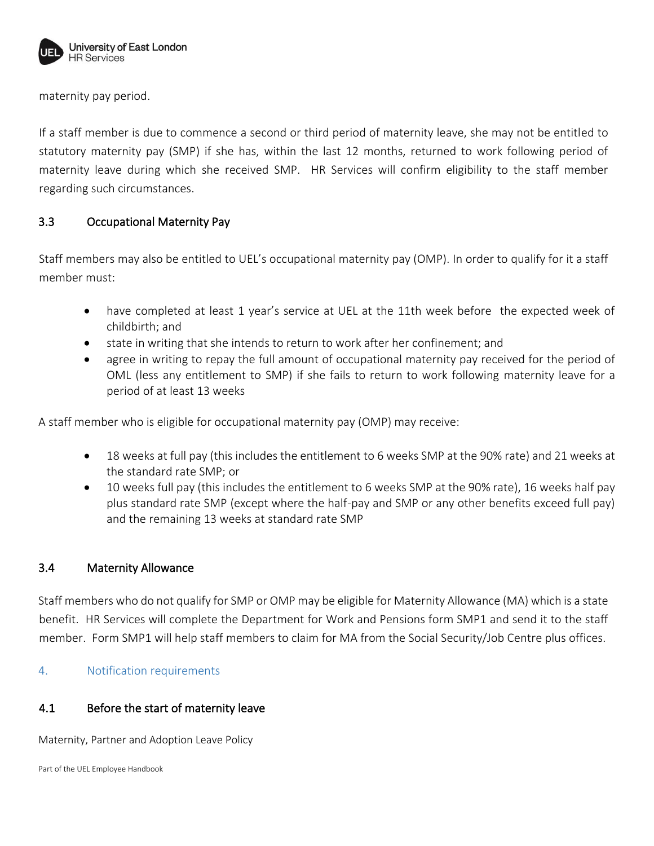

maternity pay period.

If a staff member is due to commence a second or third period of maternity leave, she may not be entitled to statutory maternity pay (SMP) if she has, within the last 12 months, returned to work following period of maternity leave during which she received SMP. HR Services will confirm eligibility to the staff member regarding such circumstances.

## 3.3 Occupational Maternity Pay

Staff members may also be entitled to UEL's occupational maternity pay (OMP). In order to qualify for it a staff member must:

- have completed at least 1 year's service at UEL at the 11th week before the expected week of childbirth; and
- state in writing that she intends to return to work after her confinement; and
- agree in writing to repay the full amount of occupational maternity pay received for the period of OML (less any entitlement to SMP) if she fails to return to work following maternity leave for a period of at least 13 weeks

A staff member who is eligible for occupational maternity pay (OMP) may receive:

- 18 weeks at full pay (this includes the entitlement to 6 weeks SMP at the 90% rate) and 21 weeks at the standard rate SMP; or
- 10 weeks full pay (this includes the entitlement to 6 weeks SMP at the 90% rate), 16 weeks half pay plus standard rate SMP (except where the half-pay and SMP or any other benefits exceed full pay) and the remaining 13 weeks at standard rate SMP

#### 3.4 Maternity Allowance

Staff members who do not qualify for SMP or OMP may be eligible for Maternity Allowance (MA) which is a state benefit. HR Services will complete the Department for Work and Pensions form SMP1 and send it to the staff member. Form SMP1 will help staff members to claim for MA from the Social Security/Job Centre plus offices.

4. Notification requirements

#### 4.1 Before the start of maternity leave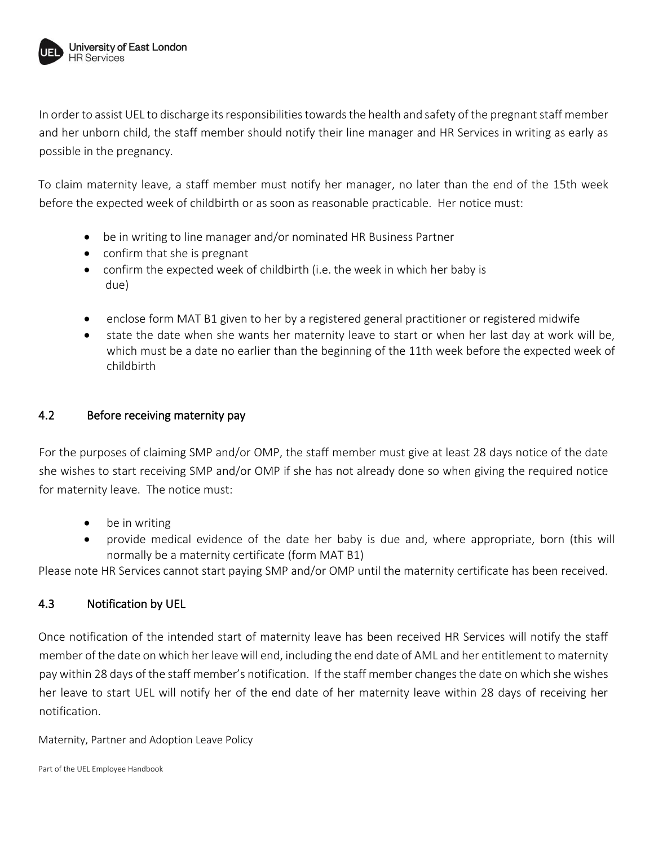

In order to assist UEL to discharge its responsibilities towards the health and safety of the pregnant staff member and her unborn child, the staff member should notify their line manager and HR Services in writing as early as possible in the pregnancy.

To claim maternity leave, a staff member must notify her manager, no later than the end of the 15th week before the expected week of childbirth or as soon as reasonable practicable. Her notice must:

- be in writing to line manager and/or nominated HR Business Partner
- confirm that she is pregnant
- confirm the expected week of childbirth (i.e. the week in which her baby is due)
- enclose form MAT B1 given to her by a registered general practitioner or registered midwife
- state the date when she wants her maternity leave to start or when her last day at work will be, which must be a date no earlier than the beginning of the 11th week before the expected week of childbirth

## 4.2 Before receiving maternity pay

For the purposes of claiming SMP and/or OMP, the staff member must give at least 28 days notice of the date she wishes to start receiving SMP and/or OMP if she has not already done so when giving the required notice for maternity leave. The notice must:

- be in writing
- provide medical evidence of the date her baby is due and, where appropriate, born (this will normally be a maternity certificate (form MAT B1)

Please note HR Services cannot start paying SMP and/or OMP until the maternity certificate has been received.

## 4.3 Notification by UEL

Once notification of the intended start of maternity leave has been received HR Services will notify the staff member of the date on which her leave will end, including the end date of AML and her entitlement to maternity pay within 28 days of the staff member's notification. If the staff member changes the date on which she wishes her leave to start UEL will notify her of the end date of her maternity leave within 28 days of receiving her notification.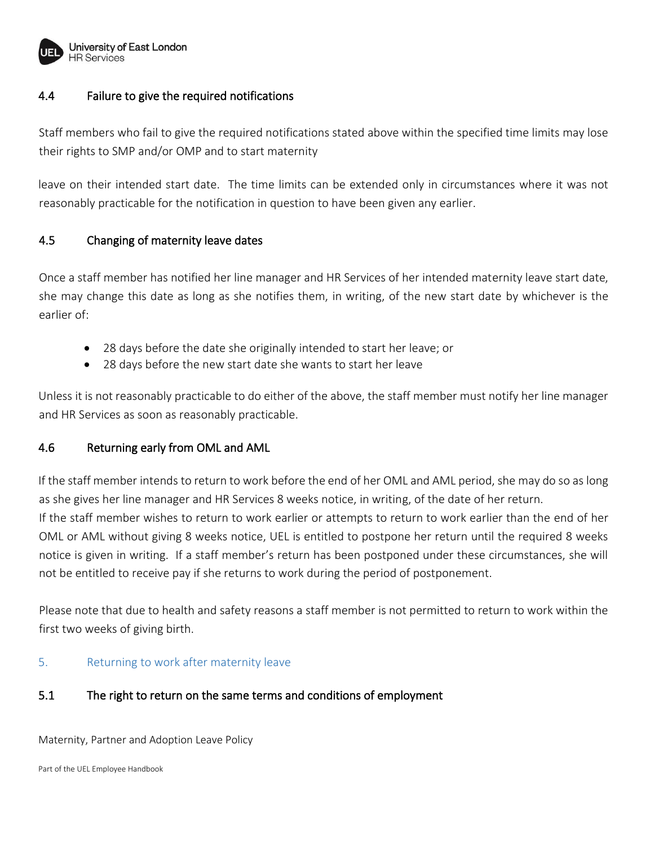

## 4.4 Failure to give the required notifications

Staff members who fail to give the required notifications stated above within the specified time limits may lose their rights to SMP and/or OMP and to start maternity

leave on their intended start date. The time limits can be extended only in circumstances where it was not reasonably practicable for the notification in question to have been given any earlier.

## 4.5 Changing of maternity leave dates

Once a staff member has notified her line manager and HR Services of her intended maternity leave start date, she may change this date as long as she notifies them, in writing, of the new start date by whichever is the earlier of:

- 28 days before the date she originally intended to start her leave; or
- 28 days before the new start date she wants to start her leave

Unless it is not reasonably practicable to do either of the above, the staff member must notify her line manager and HR Services as soon as reasonably practicable.

## 4.6 Returning early from OML and AML

If the staff member intends to return to work before the end of her OML and AML period, she may do so as long as she gives her line manager and HR Services 8 weeks notice, in writing, of the date of her return. If the staff member wishes to return to work earlier or attempts to return to work earlier than the end of her OML or AML without giving 8 weeks notice, UEL is entitled to postpone her return until the required 8 weeks notice is given in writing. If a staff member's return has been postponed under these circumstances, she will not be entitled to receive pay if she returns to work during the period of postponement.

Please note that due to health and safety reasons a staff member is not permitted to return to work within the first two weeks of giving birth.

#### 5. Returning to work after maternity leave

## 5.1 The right to return on the same terms and conditions of employment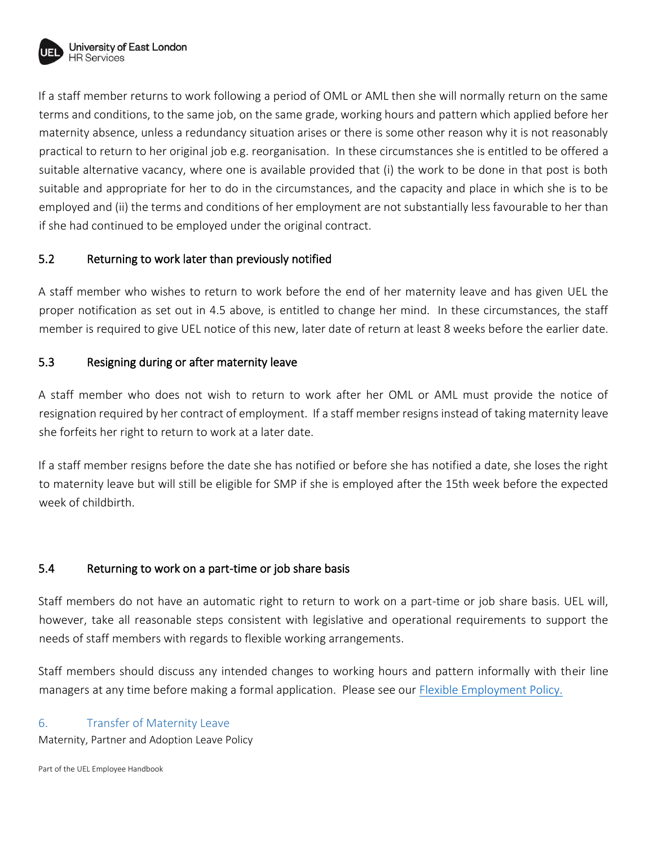

If a staff member returns to work following a period of OML or AML then she will normally return on the same terms and conditions, to the same job, on the same grade, working hours and pattern which applied before her maternity absence, unless a redundancy situation arises or there is some other reason why it is not reasonably practical to return to her original job e.g. reorganisation. In these circumstances she is entitled to be offered a suitable alternative vacancy, where one is available provided that (i) the work to be done in that post is both suitable and appropriate for her to do in the circumstances, and the capacity and place in which she is to be employed and (ii) the terms and conditions of her employment are not substantially less favourable to her than if she had continued to be employed under the original contract.

## 5.2 Returning to work later than previously notified

A staff member who wishes to return to work before the end of her maternity leave and has given UEL the proper notification as set out in 4.5 above, is entitled to change her mind. In these circumstances, the staff member is required to give UEL notice of this new, later date of return at least 8 weeks before the earlier date.

## 5.3 Resigning during or after maternity leave

A staff member who does not wish to return to work after her OML or AML must provide the notice of resignation required by her contract of employment. If a staff member resigns instead of taking maternity leave she forfeits her right to return to work at a later date.

If a staff member resigns before the date she has notified or before she has notified a date, she loses the right to maternity leave but will still be eligible for SMP if she is employed after the 15th week before the expected week of childbirth.

## 5.4 Returning to work on a part-time or job share basis

Staff members do not have an automatic right to return to work on a part-time or job share basis. UEL will, however, take all reasonable steps consistent with legislative and operational requirements to support the needs of staff members with regards to flexible working arrangements.

Staff members should discuss any intended changes to working hours and pattern informally with their line managers at any time before making a formal application. Please see our [Flexible Employment Policy.](https://uelac.sharepoint.com/sites/hr/Shared%20Documents/Forms/AllItems.aspx?id=%2Fsites%2Fhr%2FShared%20Documents%2FPolicies%202020%2Fflexworking%2Epdf&parent=%2Fsites%2Fhr%2FShared%20Documents%2FPolicies%202020)

#### 6. Transfer of Maternity Leave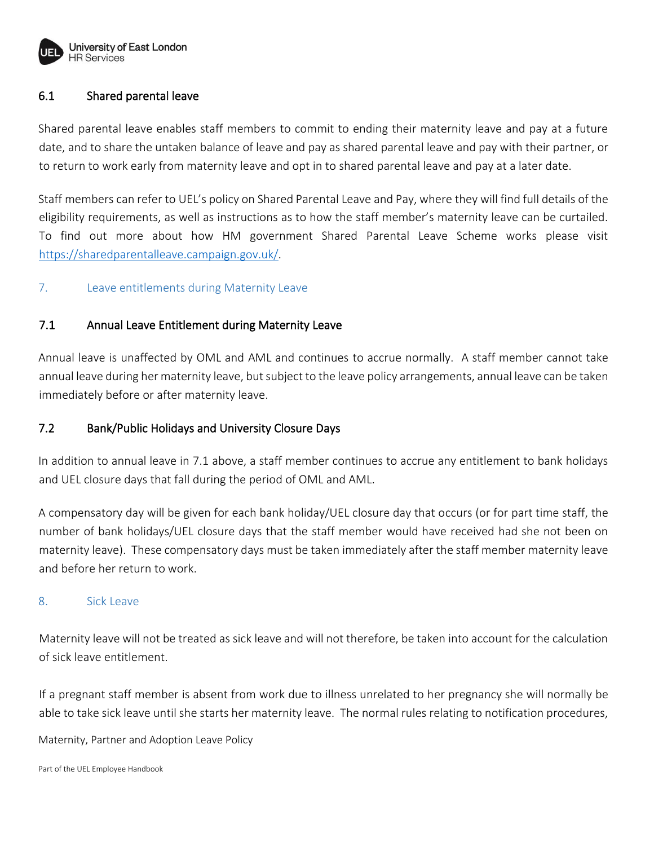

## 6.1 Shared parental leave

Shared parental leave enables staff members to commit to ending their maternity leave and pay at a future date, and to share the untaken balance of leave and pay as shared parental leave and pay with their partner, or to return to work early from maternity leave and opt in to shared parental leave and pay at a later date.

Staff members can refer to UEL's policy on Shared Parental Leave and Pay, where they will find full details of the eligibility requirements, as well as instructions as to how the staff member's maternity leave can be curtailed. To find out more about how HM government Shared Parental Leave Scheme works please visit [https://sharedparentalleave.campaign.gov.uk/.](https://sharedparentalleave.campaign.gov.uk/)

## 7. Leave entitlements during Maternity Leave

## 7.1 Annual Leave Entitlement during Maternity Leave

Annual leave is unaffected by OML and AML and continues to accrue normally. A staff member cannot take annual leave during her maternity leave, but subject to the leave policy arrangements, annual leave can be taken immediately before or after maternity leave.

## 7.2 Bank/Public Holidays and University Closure Days

In addition to annual leave in 7.1 above, a staff member continues to accrue any entitlement to bank holidays and UEL closure days that fall during the period of OML and AML.

A compensatory day will be given for each bank holiday/UEL closure day that occurs (or for part time staff, the number of bank holidays/UEL closure days that the staff member would have received had she not been on maternity leave). These compensatory days must be taken immediately after the staff member maternity leave and before her return to work.

#### 8. Sick Leave

Maternity leave will not be treated as sick leave and will not therefore, be taken into account for the calculation of sick leave entitlement.

If a pregnant staff member is absent from work due to illness unrelated to her pregnancy she will normally be able to take sick leave until she starts her maternity leave. The normal rules relating to notification procedures,

Maternity, Partner and Adoption Leave Policy

Part of the UEL Employee Handbook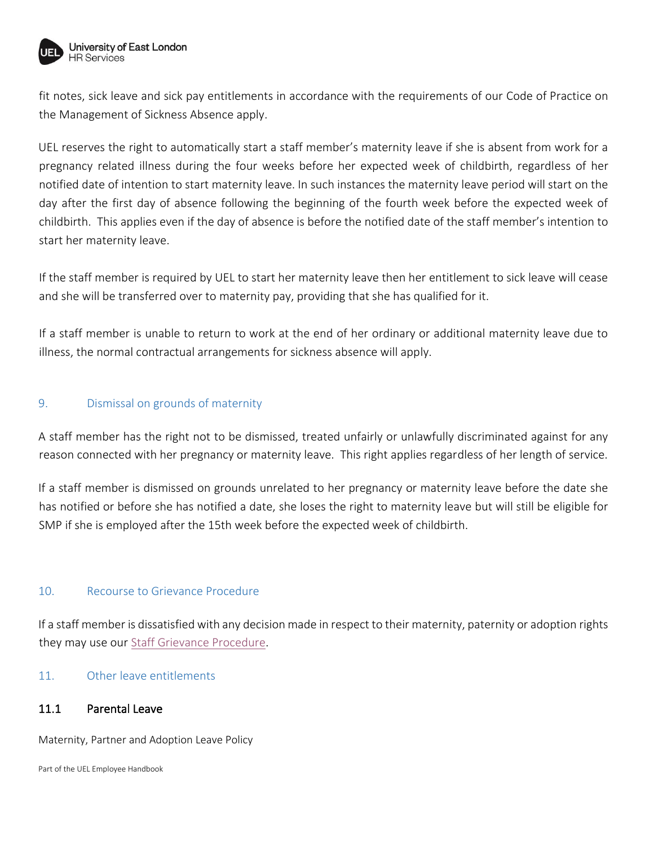

fit notes, sick leave and sick pay entitlements in accordance with the requirements of our Code of Practice on the Management of Sickness Absence apply.

UEL reserves the right to automatically start a staff member's maternity leave if she is absent from work for a pregnancy related illness during the four weeks before her expected week of childbirth, regardless of her notified date of intention to start maternity leave. In such instances the maternity leave period will start on the day after the first day of absence following the beginning of the fourth week before the expected week of childbirth. This applies even if the day of absence is before the notified date of the staff member's intention to start her maternity leave.

If the staff member is required by UEL to start her maternity leave then her entitlement to sick leave will cease and she will be transferred over to maternity pay, providing that she has qualified for it.

If a staff member is unable to return to work at the end of her ordinary or additional maternity leave due to illness, the normal contractual arrangements for sickness absence will apply.

## 9. Dismissal on grounds of maternity

A staff member has the right not to be dismissed, treated unfairly or unlawfully discriminated against for any reason connected with her pregnancy or maternity leave. This right applies regardless of her length of service.

If a staff member is dismissed on grounds unrelated to her pregnancy or maternity leave before the date she has notified or before she has notified a date, she loses the right to maternity leave but will still be eligible for SMP if she is employed after the 15th week before the expected week of childbirth.

#### 10. Recourse to Grievance Procedure

If a staff member is dissatisfied with any decision made in respect to their maternity, paternity or adoption rights they may use our [Staff Grievance Procedure.](https://uelac.sharepoint.com/sites/hr/Shared%20Documents/Forms/AllItems.aspx?id=%2Fsites%2Fhr%2FShared%20Documents%2FPolicies%202020%2FGrievance%20Procedure%20Nov%2019%2Epdf&parent=%2Fsites%2Fhr%2FShared%20Documents%2FPolicies%202020)

#### 11. Other leave entitlements

#### 11.1 Parental Leave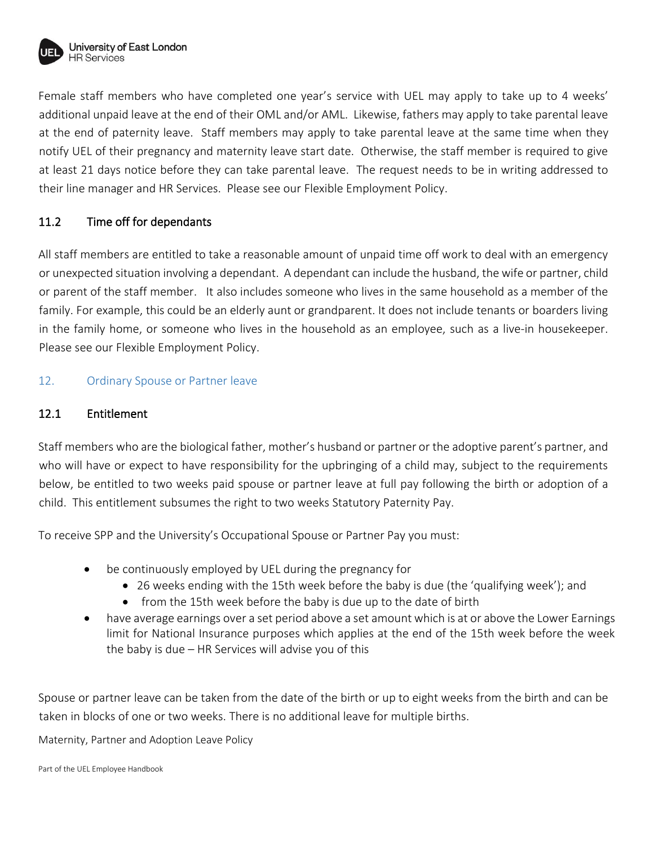

Female staff members who have completed one year's service with UEL may apply to take up to 4 weeks' additional unpaid leave at the end of their OML and/or AML. Likewise, fathers may apply to take parental leave at the end of paternity leave. Staff members may apply to take parental leave at the same time when they notify UEL of their pregnancy and maternity leave start date. Otherwise, the staff member is required to give at least 21 days notice before they can take parental leave. The request needs to be in writing addressed to their line manager and HR Services. Please see our Flexible Employment Policy.

## 11.2 Time off for dependants

All staff members are entitled to take a reasonable amount of unpaid time off work to deal with an emergency or unexpected situation involving a dependant. A dependant can include the husband, the wife or partner, child or parent of the staff member. It also includes someone who lives in the same household as a member of the family. For example, this could be an elderly aunt or grandparent. It does not include tenants or boarders living in the family home, or someone who lives in the household as an employee, such as a live-in housekeeper. Please see our Flexible Employment Policy.

## 12. Ordinary Spouse or Partner leave

## 12.1 Entitlement

Staff members who are the biological father, mother's husband or partner or the adoptive parent's partner, and who will have or expect to have responsibility for the upbringing of a child may, subject to the requirements below, be entitled to two weeks paid spouse or partner leave at full pay following the birth or adoption of a child. This entitlement subsumes the right to two weeks Statutory Paternity Pay.

To receive SPP and the University's Occupational Spouse or Partner Pay you must:

- be continuously employed by UEL during the pregnancy for
	- 26 weeks ending with the 15th week before the baby is due (the 'qualifying week'); and
	- from the 15th week before the baby is due up to the date of birth
- have average earnings over a set period above a set amount which is at or above the Lower Earnings limit for National Insurance purposes which applies at the end of the 15th week before the week the baby is due – HR Services will advise you of this

Spouse or partner leave can be taken from the date of the birth or up to eight weeks from the birth and can be taken in blocks of one or two weeks. There is no additional leave for multiple births.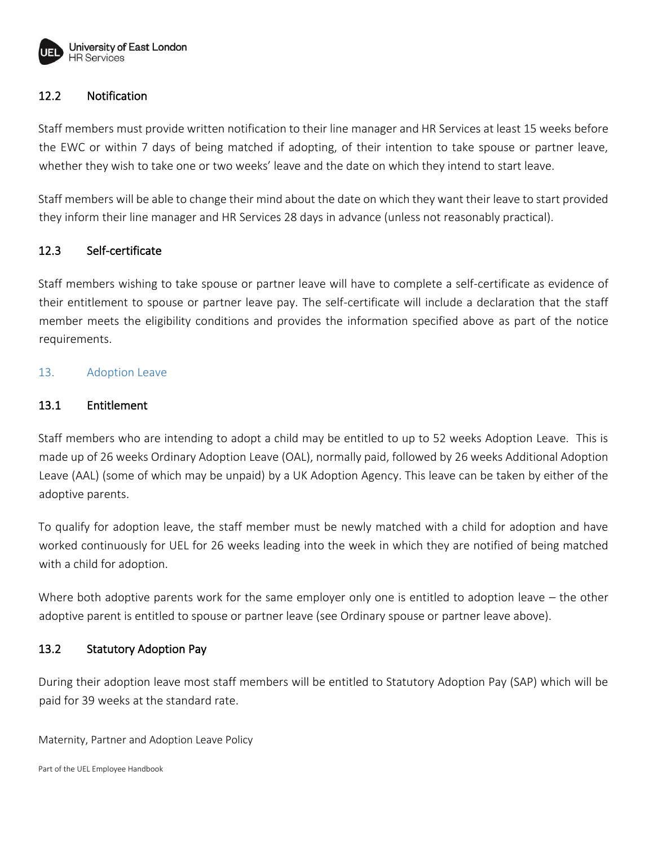

## 12.2 Notification

Staff members must provide written notification to their line manager and HR Services at least 15 weeks before the EWC or within 7 days of being matched if adopting, of their intention to take spouse or partner leave, whether they wish to take one or two weeks' leave and the date on which they intend to start leave.

Staff members will be able to change their mind about the date on which they want their leave to start provided they inform their line manager and HR Services 28 days in advance (unless not reasonably practical).

#### 12.3 Self-certificate

Staff members wishing to take spouse or partner leave will have to complete a self-certificate as evidence of their entitlement to spouse or partner leave pay. The self-certificate will include a declaration that the staff member meets the eligibility conditions and provides the information specified above as part of the notice requirements.

#### 13. Adoption Leave

#### 13.1 Entitlement

Staff members who are intending to adopt a child may be entitled to up to 52 weeks Adoption Leave. This is made up of 26 weeks Ordinary Adoption Leave (OAL), normally paid, followed by 26 weeks Additional Adoption Leave (AAL) (some of which may be unpaid) by a UK Adoption Agency. This leave can be taken by either of the adoptive parents.

To qualify for adoption leave, the staff member must be newly matched with a child for adoption and have worked continuously for UEL for 26 weeks leading into the week in which they are notified of being matched with a child for adoption.

Where both adoptive parents work for the same employer only one is entitled to adoption leave – the other adoptive parent is entitled to spouse or partner leave (see Ordinary spouse or partner leave above).

#### 13.2 Statutory Adoption Pay

During their adoption leave most staff members will be entitled to Statutory Adoption Pay (SAP) which will be paid for 39 weeks at the standard rate.

Maternity, Partner and Adoption Leave Policy

Part of the UEL Employee Handbook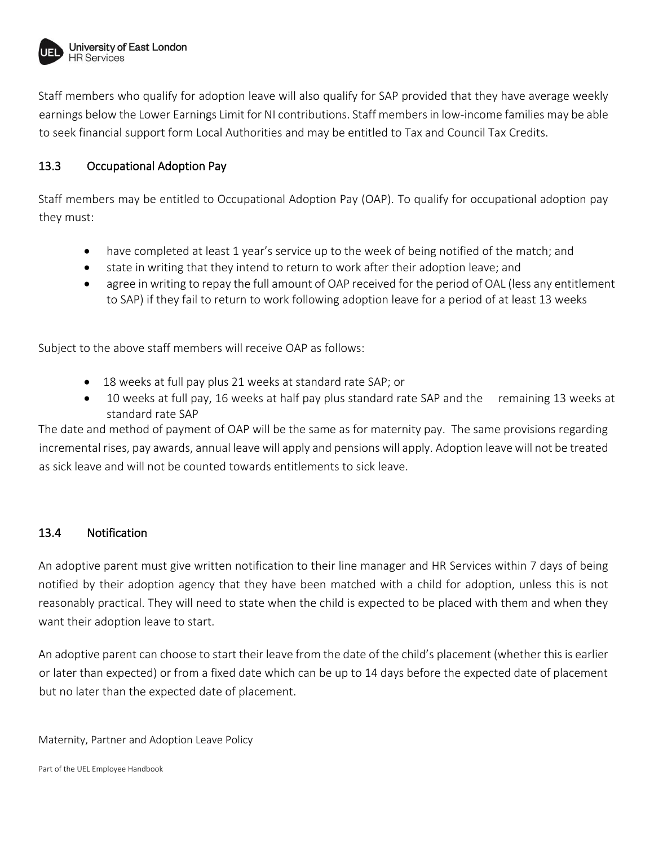

Staff members who qualify for adoption leave will also qualify for SAP provided that they have average weekly earnings below the Lower Earnings Limit for NI contributions. Staff members in low-income families may be able to seek financial support form Local Authorities and may be entitled to Tax and Council Tax Credits.

## 13.3 Occupational Adoption Pay

Staff members may be entitled to Occupational Adoption Pay (OAP). To qualify for occupational adoption pay they must:

- have completed at least 1 year's service up to the week of being notified of the match; and
- state in writing that they intend to return to work after their adoption leave; and
- agree in writing to repay the full amount of OAP received for the period of OAL (less any entitlement to SAP) if they fail to return to work following adoption leave for a period of at least 13 weeks

Subject to the above staff members will receive OAP as follows:

- 18 weeks at full pay plus 21 weeks at standard rate SAP; or
- 10 weeks at full pay, 16 weeks at half pay plus standard rate SAP and the remaining 13 weeks at standard rate SAP

The date and method of payment of OAP will be the same as for maternity pay. The same provisions regarding incremental rises, pay awards, annual leave will apply and pensions will apply. Adoption leave will not be treated as sick leave and will not be counted towards entitlements to sick leave.

## 13.4 Notification

An adoptive parent must give written notification to their line manager and HR Services within 7 days of being notified by their adoption agency that they have been matched with a child for adoption, unless this is not reasonably practical. They will need to state when the child is expected to be placed with them and when they want their adoption leave to start.

An adoptive parent can choose to start their leave from the date of the child's placement (whether this is earlier or later than expected) or from a fixed date which can be up to 14 days before the expected date of placement but no later than the expected date of placement.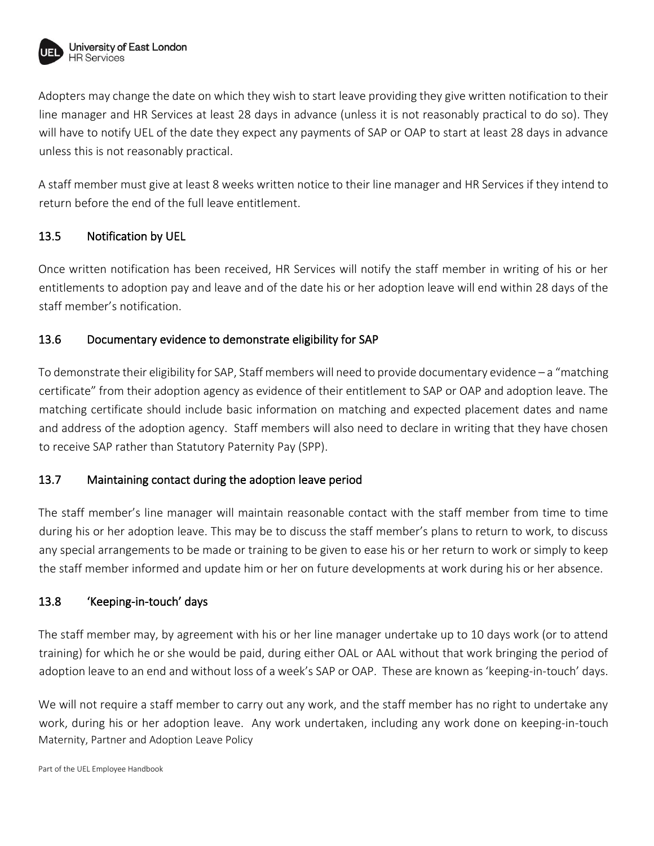

Adopters may change the date on which they wish to start leave providing they give written notification to their line manager and HR Services at least 28 days in advance (unless it is not reasonably practical to do so). They will have to notify UEL of the date they expect any payments of SAP or OAP to start at least 28 days in advance unless this is not reasonably practical.

A staff member must give at least 8 weeks written notice to their line manager and HR Services if they intend to return before the end of the full leave entitlement.

## 13.5 Notification by UEL

Once written notification has been received, HR Services will notify the staff member in writing of his or her entitlements to adoption pay and leave and of the date his or her adoption leave will end within 28 days of the staff member's notification.

## 13.6 Documentary evidence to demonstrate eligibility for SAP

To demonstrate their eligibility for SAP, Staff members will need to provide documentary evidence – a "matching certificate" from their adoption agency as evidence of their entitlement to SAP or OAP and adoption leave. The matching certificate should include basic information on matching and expected placement dates and name and address of the adoption agency. Staff members will also need to declare in writing that they have chosen to receive SAP rather than Statutory Paternity Pay (SPP).

## 13.7 Maintaining contact during the adoption leave period

The staff member's line manager will maintain reasonable contact with the staff member from time to time during his or her adoption leave. This may be to discuss the staff member's plans to return to work, to discuss any special arrangements to be made or training to be given to ease his or her return to work or simply to keep the staff member informed and update him or her on future developments at work during his or her absence.

## 13.8 'Keeping-in-touch' days

The staff member may, by agreement with his or her line manager undertake up to 10 days work (or to attend training) for which he or she would be paid, during either OAL or AAL without that work bringing the period of adoption leave to an end and without loss of a week's SAP or OAP. These are known as 'keeping-in-touch' days.

Maternity, Partner and Adoption Leave Policy We will not require a staff member to carry out any work, and the staff member has no right to undertake any work, during his or her adoption leave. Any work undertaken, including any work done on keeping-in-touch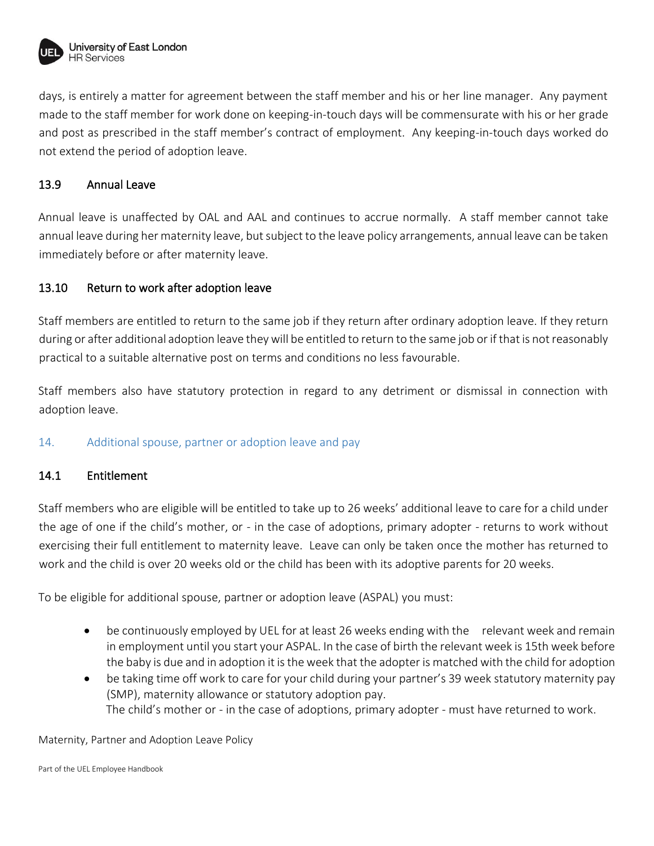

days, is entirely a matter for agreement between the staff member and his or her line manager. Any payment made to the staff member for work done on keeping-in-touch days will be commensurate with his or her grade and post as prescribed in the staff member's contract of employment. Any keeping-in-touch days worked do not extend the period of adoption leave.

## 13.9 Annual Leave

Annual leave is unaffected by OAL and AAL and continues to accrue normally. A staff member cannot take annual leave during her maternity leave, but subject to the leave policy arrangements, annual leave can be taken immediately before or after maternity leave.

## 13.10 Return to work after adoption leave

Staff members are entitled to return to the same job if they return after ordinary adoption leave. If they return during or after additional adoption leave they will be entitled to return to the same job or if that is not reasonably practical to a suitable alternative post on terms and conditions no less favourable.

Staff members also have statutory protection in regard to any detriment or dismissal in connection with adoption leave.

## 14. Additional spouse, partner or adoption leave and pay

## 14.1 Entitlement

Staff members who are eligible will be entitled to take up to 26 weeks' additional leave to care for a child under the age of one if the child's mother, or - in the case of adoptions, primary adopter - returns to work without exercising their full entitlement to maternity leave. Leave can only be taken once the mother has returned to work and the child is over 20 weeks old or the child has been with its adoptive parents for 20 weeks.

To be eligible for additional spouse, partner or adoption leave (ASPAL) you must:

- be continuously employed by UEL for at least 26 weeks ending with the relevant week and remain in employment until you start your ASPAL. In the case of birth the relevant week is 15th week before the baby is due and in adoption it is the week that the adopter is matched with the child for adoption
- be taking time off work to care for your child during your partner's 39 week statutory maternity pay (SMP), maternity allowance or statutory adoption pay. The child's mother or - in the case of adoptions, primary adopter - must have returned to work.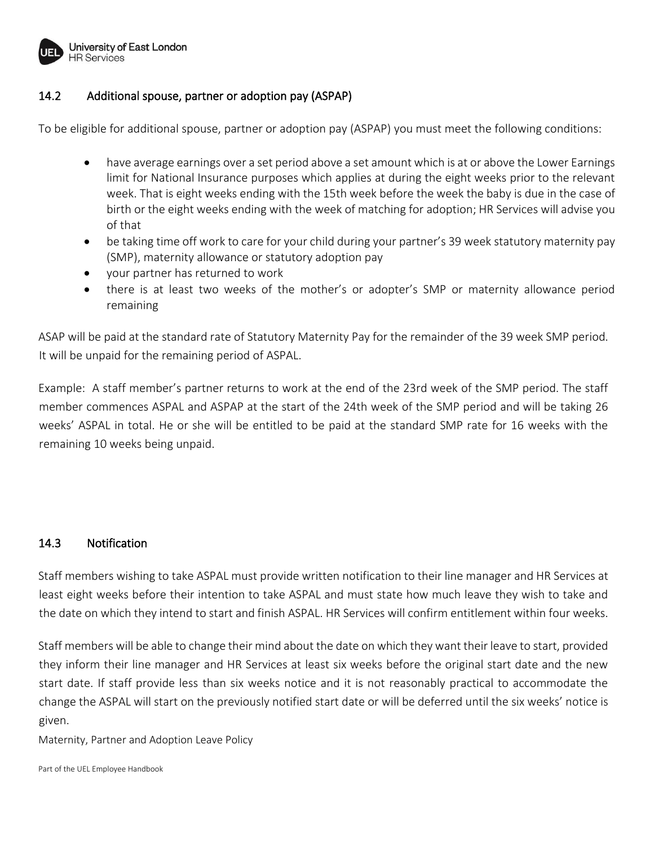

## 14.2 Additional spouse, partner or adoption pay (ASPAP)

To be eligible for additional spouse, partner or adoption pay (ASPAP) you must meet the following conditions:

- have average earnings over a set period above a set amount which is at or above the Lower Earnings limit for National Insurance purposes which applies at during the eight weeks prior to the relevant week. That is eight weeks ending with the 15th week before the week the baby is due in the case of birth or the eight weeks ending with the week of matching for adoption; HR Services will advise you of that
- be taking time off work to care for your child during your partner's 39 week statutory maternity pay (SMP), maternity allowance or statutory adoption pay
- your partner has returned to work
- there is at least two weeks of the mother's or adopter's SMP or maternity allowance period remaining

ASAP will be paid at the standard rate of Statutory Maternity Pay for the remainder of the 39 week SMP period. It will be unpaid for the remaining period of ASPAL.

Example: A staff member's partner returns to work at the end of the 23rd week of the SMP period. The staff member commences ASPAL and ASPAP at the start of the 24th week of the SMP period and will be taking 26 weeks' ASPAL in total. He or she will be entitled to be paid at the standard SMP rate for 16 weeks with the remaining 10 weeks being unpaid.

#### 14.3 Notification

Staff members wishing to take ASPAL must provide written notification to their line manager and HR Services at least eight weeks before their intention to take ASPAL and must state how much leave they wish to take and the date on which they intend to start and finish ASPAL. HR Services will confirm entitlement within four weeks.

Staff members will be able to change their mind about the date on which they want their leave to start, provided they inform their line manager and HR Services at least six weeks before the original start date and the new start date. If staff provide less than six weeks notice and it is not reasonably practical to accommodate the change the ASPAL will start on the previously notified start date or will be deferred until the six weeks' notice is given.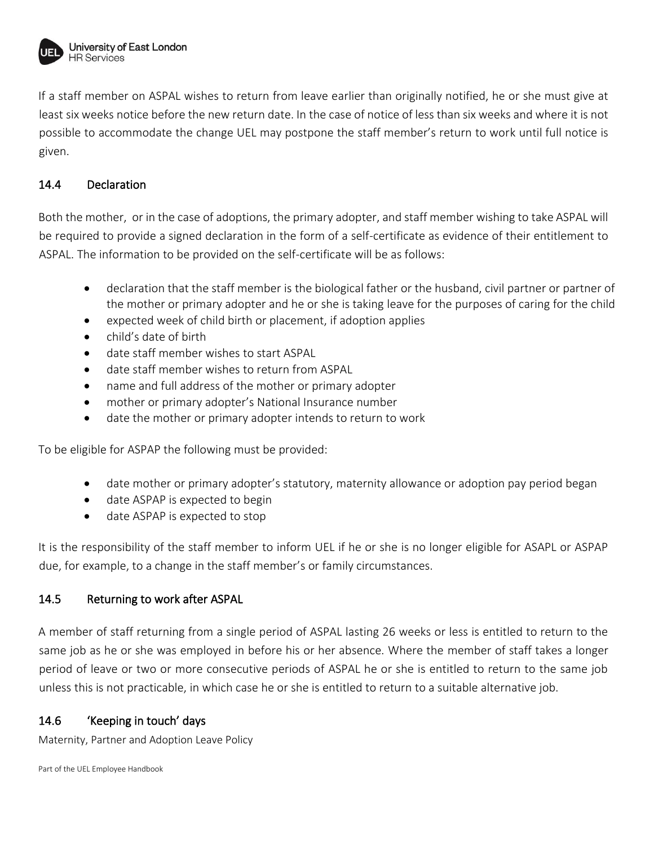

If a staff member on ASPAL wishes to return from leave earlier than originally notified, he or she must give at least six weeks notice before the new return date. In the case of notice of less than six weeks and where it is not possible to accommodate the change UEL may postpone the staff member's return to work until full notice is given.

## 14.4 Declaration

Both the mother, or in the case of adoptions, the primary adopter, and staff member wishing to take ASPAL will be required to provide a signed declaration in the form of a self-certificate as evidence of their entitlement to ASPAL. The information to be provided on the self-certificate will be as follows:

- declaration that the staff member is the biological father or the husband, civil partner or partner of the mother or primary adopter and he or she is taking leave for the purposes of caring for the child
- expected week of child birth or placement, if adoption applies
- child's date of birth
- date staff member wishes to start ASPAL
- date staff member wishes to return from ASPAL
- name and full address of the mother or primary adopter
- mother or primary adopter's National Insurance number
- date the mother or primary adopter intends to return to work

To be eligible for ASPAP the following must be provided:

- date mother or primary adopter's statutory, maternity allowance or adoption pay period began
- date ASPAP is expected to begin
- date ASPAP is expected to stop

It is the responsibility of the staff member to inform UEL if he or she is no longer eligible for ASAPL or ASPAP due, for example, to a change in the staff member's or family circumstances.

## 14.5 Returning to work after ASPAL

A member of staff returning from a single period of ASPAL lasting 26 weeks or less is entitled to return to the same job as he or she was employed in before his or her absence. Where the member of staff takes a longer period of leave or two or more consecutive periods of ASPAL he or she is entitled to return to the same job unless this is not practicable, in which case he or she is entitled to return to a suitable alternative job.

## 14.6 'Keeping in touch' days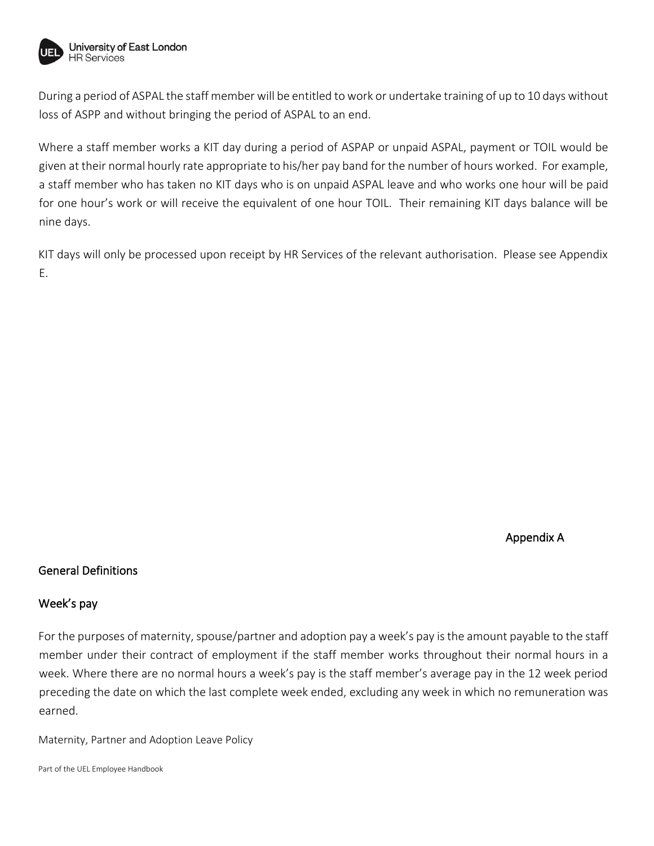

During a period of ASPAL the staff member will be entitled to work or undertake training of up to 10 days without loss of ASPP and without bringing the period of ASPAL to an end.

Where a staff member works a KIT day during a period of ASPAP or unpaid ASPAL, payment or TOIL would be given at their normal hourly rate appropriate to his/her pay band for the number of hours worked. For example, a staff member who has taken no KIT days who is on unpaid ASPAL leave and who works one hour will be paid for one hour's work or will receive the equivalent of one hour TOIL. Their remaining KIT days balance will be nine days.

KIT days will only be processed upon receipt by HR Services of the relevant authorisation. Please see Appendix E.

Appendix A

#### General Definitions

#### Week's pay

For the purposes of maternity, spouse/partner and adoption pay a week's pay is the amount payable to the staff member under their contract of employment if the staff member works throughout their normal hours in a week. Where there are no normal hours a week's pay is the staff member's average pay in the 12 week period preceding the date on which the last complete week ended, excluding any week in which no remuneration was earned.

Maternity, Partner and Adoption Leave Policy

Part of the UEL Employee Handbook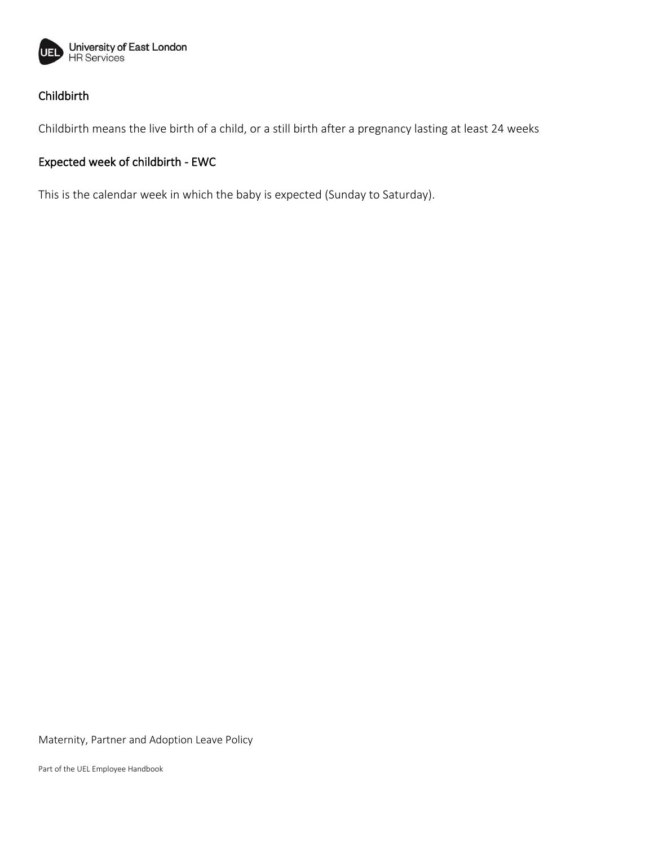

## Childbirth

Childbirth means the live birth of a child, or a still birth after a pregnancy lasting at least 24 weeks

## Expected week of childbirth - EWC

This is the calendar week in which the baby is expected (Sunday to Saturday).

Maternity, Partner and Adoption Leave Policy

Part of the UEL Employee Handbook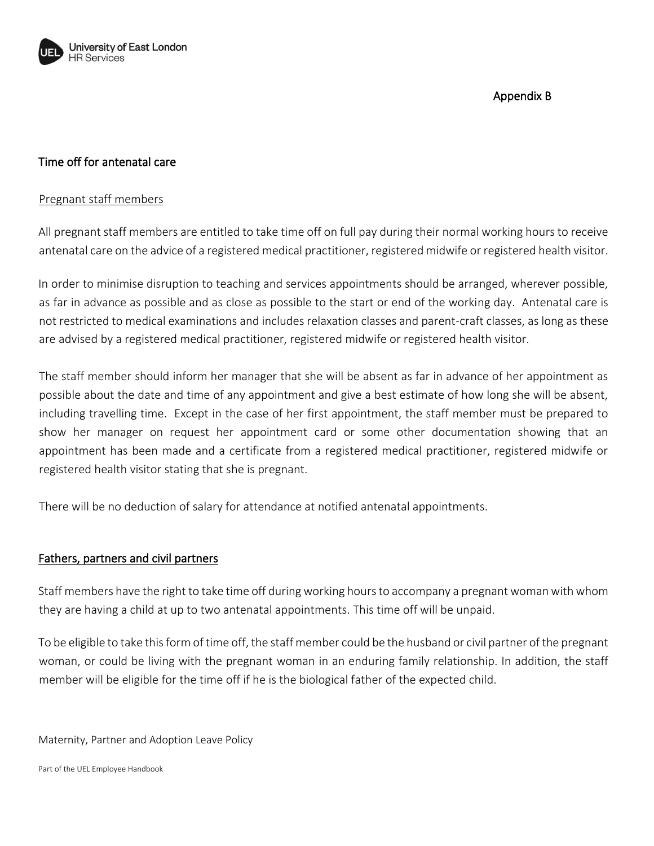

## Appendix B

## Time off for antenatal care

#### Pregnant staff members

All pregnant staff members are entitled to take time off on full pay during their normal working hours to receive antenatal care on the advice of a registered medical practitioner, registered midwife or registered health visitor.

In order to minimise disruption to teaching and services appointments should be arranged, wherever possible, as far in advance as possible and as close as possible to the start or end of the working day. Antenatal care is not restricted to medical examinations and includes relaxation classes and parent-craft classes, as long as these are advised by a registered medical practitioner, registered midwife or registered health visitor.

The staff member should inform her manager that she will be absent as far in advance of her appointment as possible about the date and time of any appointment and give a best estimate of how long she will be absent, including travelling time. Except in the case of her first appointment, the staff member must be prepared to show her manager on request her appointment card or some other documentation showing that an appointment has been made and a certificate from a registered medical practitioner, registered midwife or registered health visitor stating that she is pregnant.

There will be no deduction of salary for attendance at notified antenatal appointments.

#### Fathers, partners and civil partners

Staff members have the right to take time off during working hours to accompany a pregnant woman with whom they are having a child at up to two antenatal appointments. This time off will be unpaid.

To be eligible to take this form of time off, the staff member could be the husband or civil partner of the pregnant woman, or could be living with the pregnant woman in an enduring family relationship. In addition, the staff member will be eligible for the time off if he is the biological father of the expected child.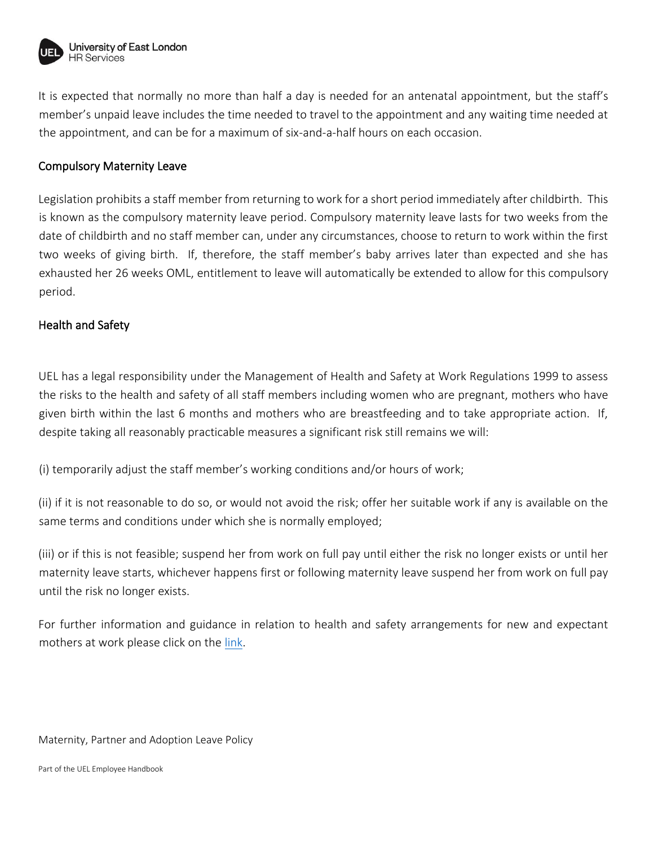

It is expected that normally no more than half a day is needed for an antenatal appointment, but the staff's member's unpaid leave includes the time needed to travel to the appointment and any waiting time needed at the appointment, and can be for a maximum of six-and-a-half hours on each occasion.

#### Compulsory Maternity Leave

Legislation prohibits a staff member from returning to work for a short period immediately after childbirth. This is known as the compulsory maternity leave period. Compulsory maternity leave lasts for two weeks from the date of childbirth and no staff member can, under any circumstances, choose to return to work within the first two weeks of giving birth. If, therefore, the staff member's baby arrives later than expected and she has exhausted her 26 weeks OML, entitlement to leave will automatically be extended to allow for this compulsory period.

## Health and Safety

UEL has a legal responsibility under the Management of Health and Safety at Work Regulations 1999 to assess the risks to the health and safety of all staff members including women who are pregnant, mothers who have given birth within the last 6 months and mothers who are breastfeeding and to take appropriate action. If, despite taking all reasonably practicable measures a significant risk still remains we will:

(i) temporarily adjust the staff member's working conditions and/or hours of work;

(ii) if it is not reasonable to do so, or would not avoid the risk; offer her suitable work if any is available on the same terms and conditions under which she is normally employed;

(iii) or if this is not feasible; suspend her from work on full pay until either the risk no longer exists or until her maternity leave starts, whichever happens first or following maternity leave suspend her from work on full pay until the risk no longer exists.

For further information and guidance in relation to health and safety arrangements for new and expectant mothers at work please click on the [link.](https://uelac.sharepoint.com/:w:/r/sites/healthandsafetyunit/_layouts/15/Doc.aspx?sourcedoc=%7B8CCC2C54-2179-4CE6-9BE1-009B40B5DFA2%7D&file=New_and_expectant_mothers_guidance.docx&action=default&mobileredirect=true)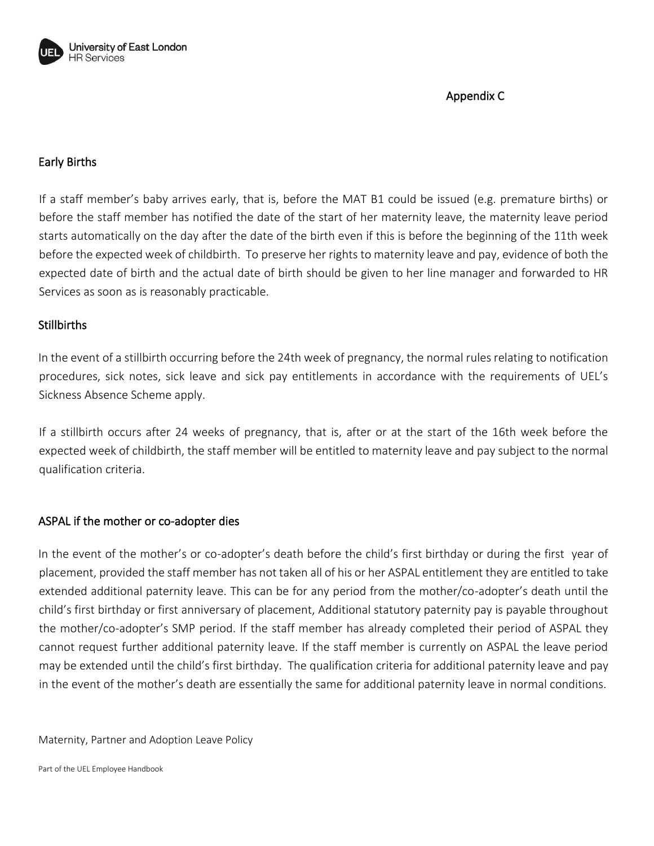

Appendix C

## Early Births

If a staff member's baby arrives early, that is, before the MAT B1 could be issued (e.g. premature births) or before the staff member has notified the date of the start of her maternity leave, the maternity leave period starts automatically on the day after the date of the birth even if this is before the beginning of the 11th week before the expected week of childbirth. To preserve her rights to maternity leave and pay, evidence of both the expected date of birth and the actual date of birth should be given to her line manager and forwarded to HR Services as soon as is reasonably practicable.

#### Stillbirths

In the event of a stillbirth occurring before the 24th week of pregnancy, the normal rules relating to notification procedures, sick notes, sick leave and sick pay entitlements in accordance with the requirements of UEL's Sickness Absence Scheme apply.

If a stillbirth occurs after 24 weeks of pregnancy, that is, after or at the start of the 16th week before the expected week of childbirth, the staff member will be entitled to maternity leave and pay subject to the normal qualification criteria.

#### ASPAL if the mother or co-adopter dies

In the event of the mother's or co-adopter's death before the child's first birthday or during the first year of placement, provided the staff member has not taken all of his or her ASPAL entitlement they are entitled to take extended additional paternity leave. This can be for any period from the mother/co-adopter's death until the child's first birthday or first anniversary of placement, Additional statutory paternity pay is payable throughout the mother/co-adopter's SMP period. If the staff member has already completed their period of ASPAL they cannot request further additional paternity leave. If the staff member is currently on ASPAL the leave period may be extended until the child's first birthday. The qualification criteria for additional paternity leave and pay in the event of the mother's death are essentially the same for additional paternity leave in normal conditions.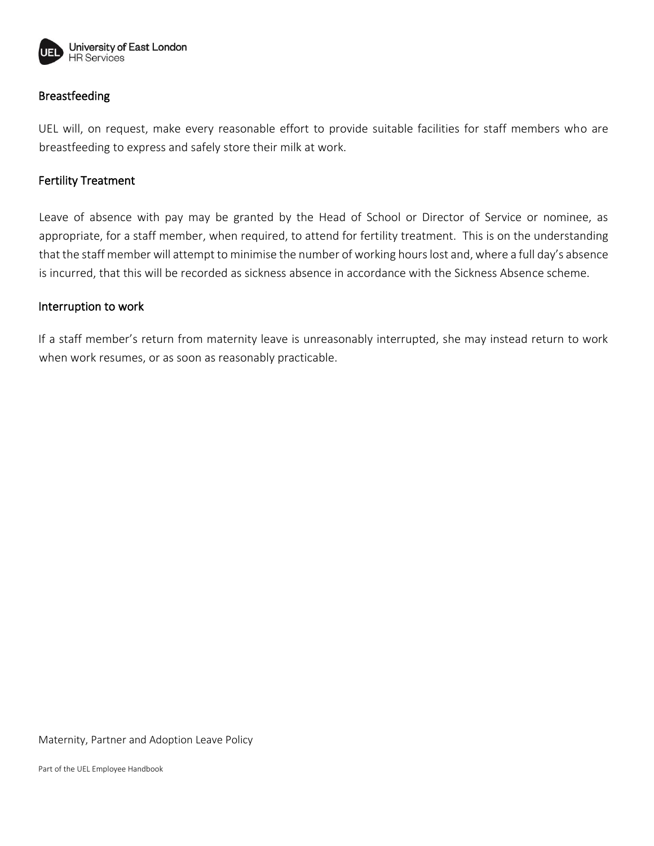

## Breastfeeding

UEL will, on request, make every reasonable effort to provide suitable facilities for staff members who are breastfeeding to express and safely store their milk at work.

#### Fertility Treatment

Leave of absence with pay may be granted by the Head of School or Director of Service or nominee, as appropriate, for a staff member, when required, to attend for fertility treatment. This is on the understanding that the staff member will attempt to minimise the number of working hours lost and, where a full day's absence is incurred, that this will be recorded as sickness absence in accordance with the Sickness Absence scheme.

#### Interruption to work

If a staff member's return from maternity leave is unreasonably interrupted, she may instead return to work when work resumes, or as soon as reasonably practicable.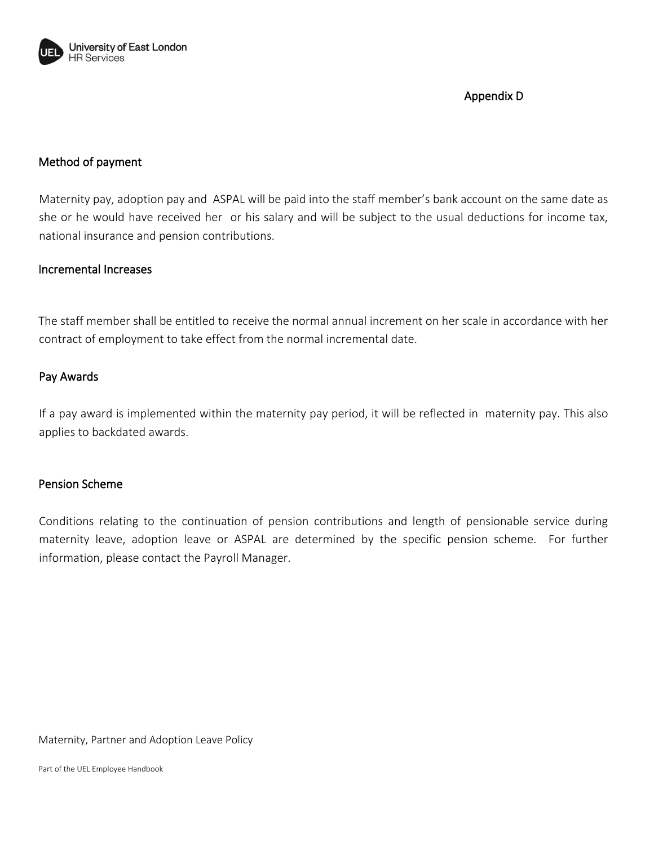

Appendix D

## Method of payment

Maternity pay, adoption pay and ASPAL will be paid into the staff member's bank account on the same date as she or he would have received her or his salary and will be subject to the usual deductions for income tax, national insurance and pension contributions.

#### Incremental Increases

The staff member shall be entitled to receive the normal annual increment on her scale in accordance with her contract of employment to take effect from the normal incremental date.

#### Pay Awards

If a pay award is implemented within the maternity pay period, it will be reflected in maternity pay. This also applies to backdated awards.

#### Pension Scheme

Conditions relating to the continuation of pension contributions and length of pensionable service during maternity leave, adoption leave or ASPAL are determined by the specific pension scheme. For further information, please contact the Payroll Manager.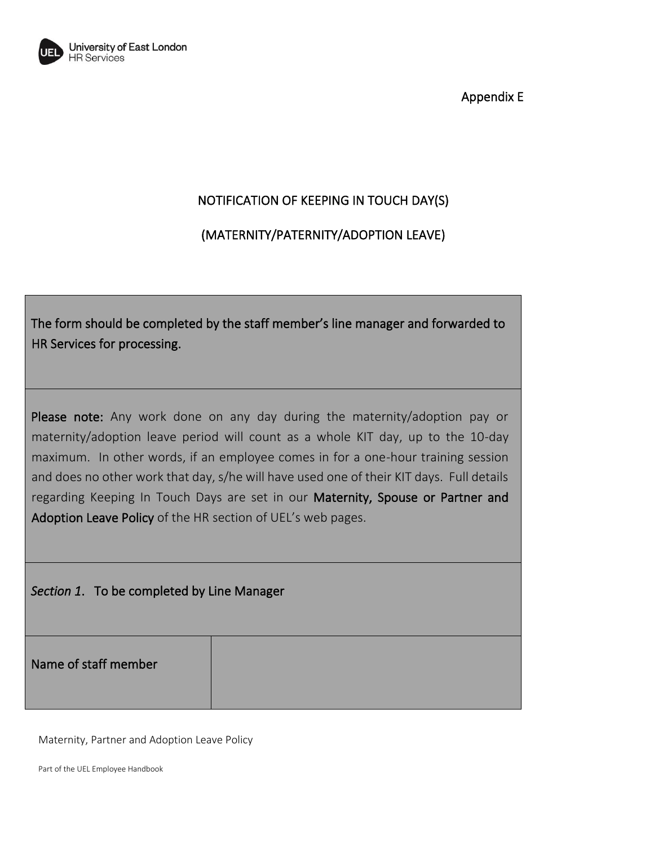

Appendix E

# NOTIFICATION OF KEEPING IN TOUCH DAY(S)

# (MATERNITY/PATERNITY/ADOPTION LEAVE)

The form should be completed by the staff member's line manager and forwarded to HR Services for processing.

Please note: Any work done on any day during the maternity/adoption pay or maternity/adoption leave period will count as a whole KIT day, up to the 10-day maximum. In other words, if an employee comes in for a one-hour training session and does no other work that day, s/he will have used one of their KIT days. Full details regarding Keeping In Touch Days are set in our Maternity, Spouse or Partner and Adoption Leave Policy of the HR section of UEL's web pages.

*Section 1*. To be completed by Line Manager

Name of staff member

Maternity, Partner and Adoption Leave Policy

Part of the UEL Employee Handbook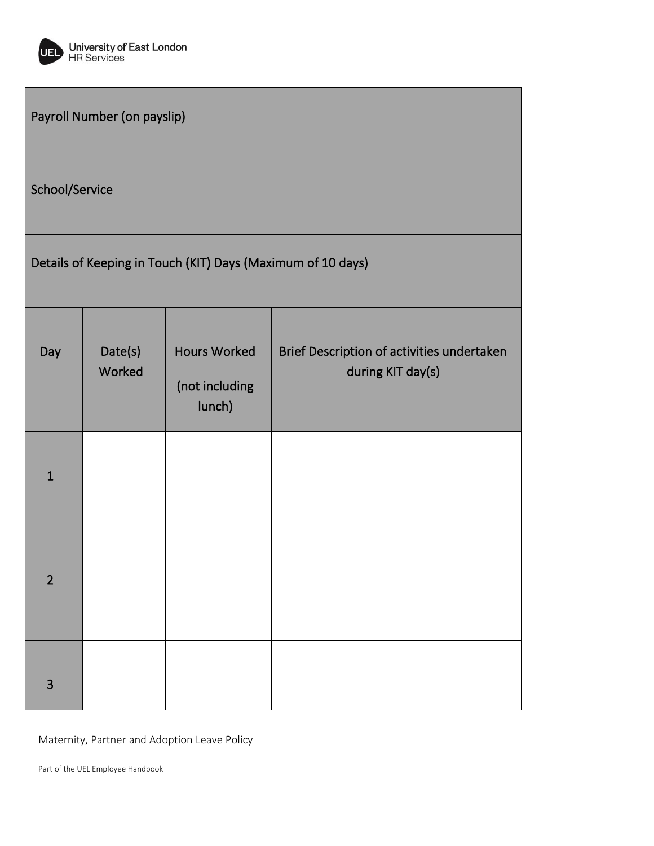

| Payroll Number (on payslip) |                                                             |  |                                                 |                                                                 |
|-----------------------------|-------------------------------------------------------------|--|-------------------------------------------------|-----------------------------------------------------------------|
| School/Service              |                                                             |  |                                                 |                                                                 |
|                             | Details of Keeping in Touch (KIT) Days (Maximum of 10 days) |  |                                                 |                                                                 |
| Day                         | Date(s)<br>Worked                                           |  | <b>Hours Worked</b><br>(not including<br>lunch) | Brief Description of activities undertaken<br>during KIT day(s) |
| $\mathbf{1}$                |                                                             |  |                                                 |                                                                 |
| $\overline{2}$              |                                                             |  |                                                 |                                                                 |
| 3                           |                                                             |  |                                                 |                                                                 |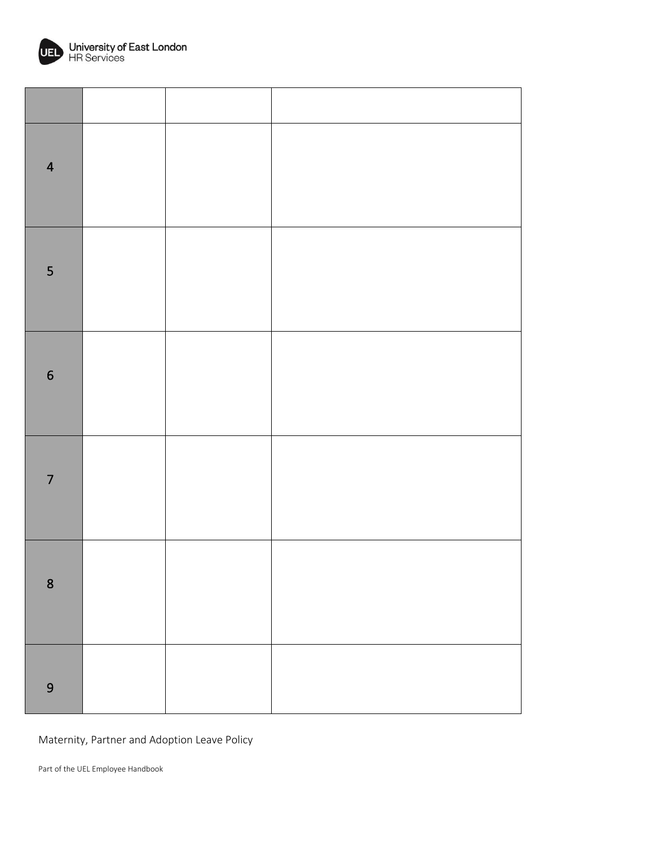

| $\overline{\mathbf{4}}$ |  |  |
|-------------------------|--|--|
| 5                       |  |  |
| $\boldsymbol{6}$        |  |  |
| $\overline{7}$          |  |  |
| $\bf 8$                 |  |  |
| $\overline{9}$          |  |  |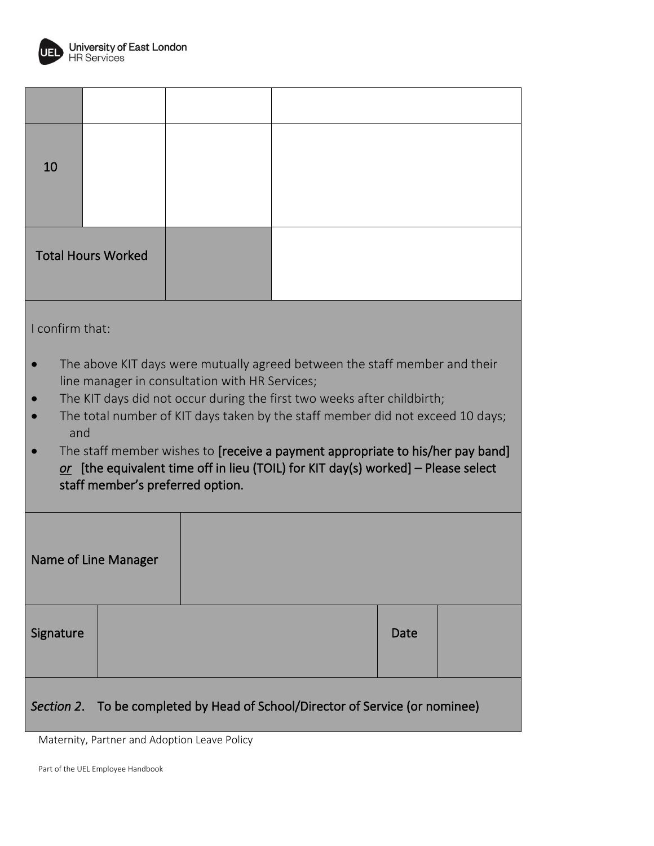

| 10                                                                            |                                                                                                                                                                                                                  |                                                |                                                                                                                                                           |      |  |  |
|-------------------------------------------------------------------------------|------------------------------------------------------------------------------------------------------------------------------------------------------------------------------------------------------------------|------------------------------------------------|-----------------------------------------------------------------------------------------------------------------------------------------------------------|------|--|--|
| <b>Total Hours Worked</b>                                                     |                                                                                                                                                                                                                  |                                                |                                                                                                                                                           |      |  |  |
| I confirm that:                                                               |                                                                                                                                                                                                                  |                                                | The above KIT days were mutually agreed between the staff member and their                                                                                |      |  |  |
|                                                                               |                                                                                                                                                                                                                  | line manager in consultation with HR Services; | The KIT days did not occur during the first two weeks after childbirth;<br>The total number of KIT days taken by the staff member did not exceed 10 days; |      |  |  |
|                                                                               | and<br>The staff member wishes to [receive a payment appropriate to his/her pay band]<br>$or$ [the equivalent time off in lieu (TOIL) for KIT day(s) worked] – Please select<br>staff member's preferred option. |                                                |                                                                                                                                                           |      |  |  |
| <b>Name of Line Manager</b>                                                   |                                                                                                                                                                                                                  |                                                |                                                                                                                                                           |      |  |  |
| Signature                                                                     |                                                                                                                                                                                                                  |                                                |                                                                                                                                                           | Date |  |  |
| Section 2. To be completed by Head of School/Director of Service (or nominee) |                                                                                                                                                                                                                  |                                                |                                                                                                                                                           |      |  |  |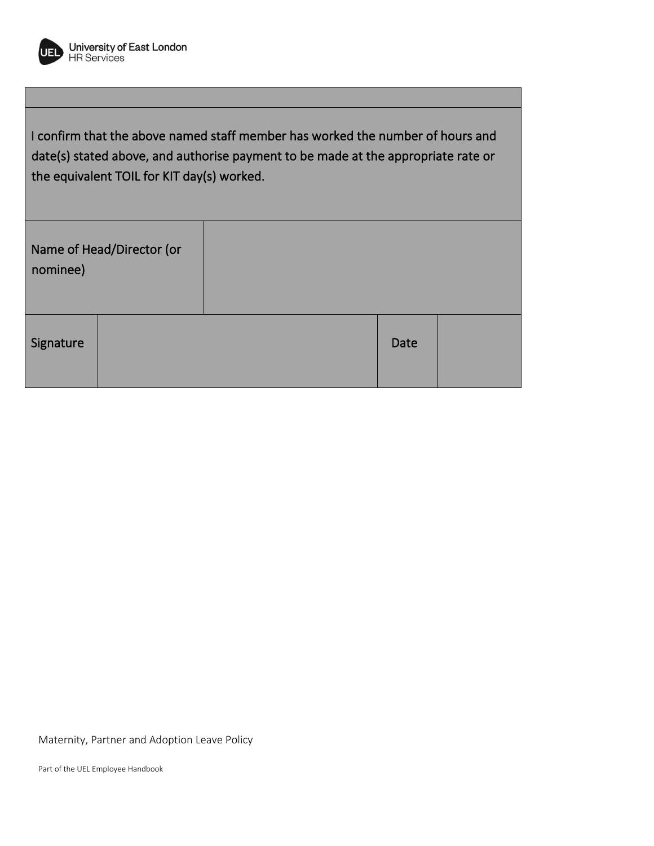

I confirm that the above named staff member has worked the number of hours and date(s) stated above, and authorise payment to be made at the appropriate rate or the equivalent TOIL for KIT day(s) worked.

| nominee)  | Name of Head/Director (or |      |  |
|-----------|---------------------------|------|--|
| Signature |                           | Date |  |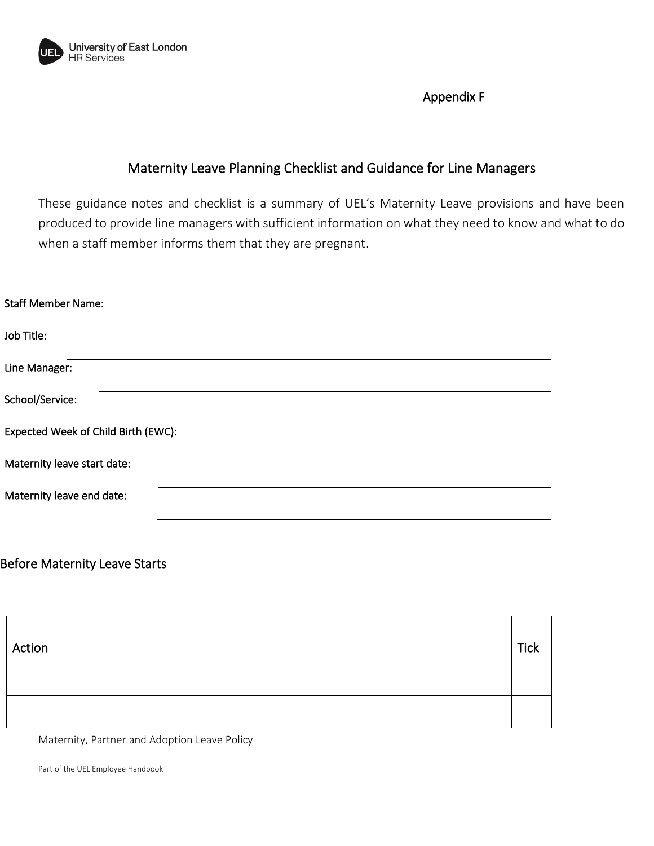

Appendix F

# Maternity Leave Planning Checklist and Guidance for Line Managers

These guidance notes and checklist is a summary of UEL's Maternity Leave provisions and have been produced to provide line managers with sufficient information on what they need to know and what to do when a staff member informs them that they are pregnant.

#### Staff Member Name:

| Job Title:                          |  |
|-------------------------------------|--|
| Line Manager:                       |  |
| School/Service:                     |  |
| Expected Week of Child Birth (EWC): |  |
| Maternity leave start date:         |  |
| Maternity leave end date:           |  |

# **Before Maternity Leave Starts**

| Action | <b>Tick</b> |
|--------|-------------|
|        |             |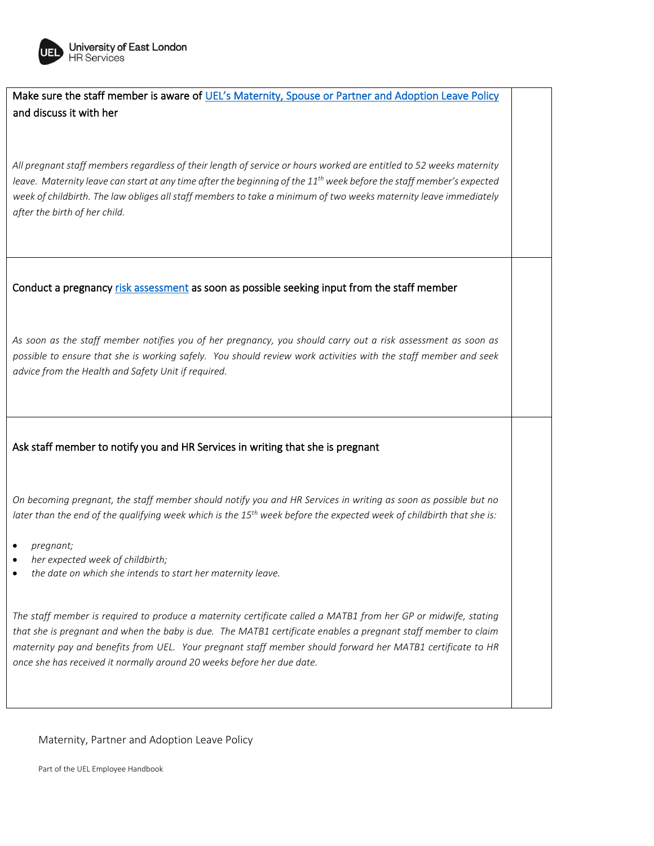

Make sure the staff member is aware of UEL's Ma[ternity, Spouse or Partner and Adoption Leave Policy](https://uelac.sharepoint.com/:w:/r/HRServices/_layouts/15/WopiFrame.aspx?sourcedoc=%7B6BF3F2DC-4DEC-4A9F-A68E-395F3729D7A9%7D&file=Maternity%20Policy%20updated%2002122016.doc&action=default)  and discuss it with her

*All pregnant staff members regardless of their length of service or hours worked are entitled to 52 weeks maternity leave. Maternity leave can start at any time after the beginning of the 11th week before the staff member's expected week of childbirth. The law obliges all staff members to take a minimum of two weeks maternity leave immediately after the birth of her child.*

#### Conduct a pregnanc[y risk assessment](https://uelac.sharepoint.com/:w:/r/HealthandSafetyUnit/_layouts/15/WopiFrame.aspx?sourcedoc=%7B8D692A7E-15B8-4912-822C-CB77314E6253%7D&file=expectant_mothers_checklist.doc&action=default) as soon as possible seeking input from the staff member

*As soon as the staff member notifies you of her pregnancy, you should carry out a risk assessment as soon as possible to ensure that she is working safely. You should review work activities with the staff member and seek advice from the Health and Safety Unit if required.* 

#### Ask staff member to notify you and HR Services in writing that she is pregnant

*On becoming pregnant, the staff member should notify you and HR Services in writing as soon as possible but no*  later than the end of the qualifying week which is the 15<sup>th</sup> week before the expected week of childbirth that she is:

- *pregnant;*
- *her expected week of childbirth;*
- *the date on which she intends to start her maternity leave.*

The staff member is required to produce a maternity certificate called a MATB1 from her GP or midwife, stating *that she is pregnant and when the baby is due. The MATB1 certificate enables a pregnant staff member to claim maternity pay and benefits from UEL. Your pregnant staff member should forward her MATB1 certificate to HR once she has received it normally around 20 weeks before her due date.* 

Maternity, Partner and Adoption Leave Policy

Part of the UEL Employee Handbook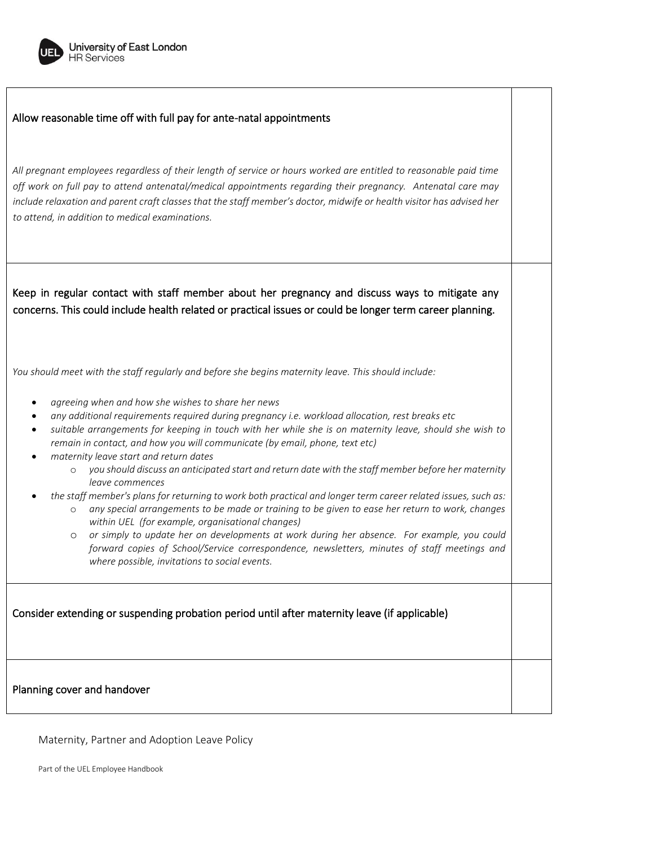

#### Allow reasonable time off with full pay for ante-natal appointments

*All pregnant employees regardless of their length of service or hours worked are entitled to reasonable paid time off work on full pay to attend antenatal/medical appointments regarding their pregnancy. Antenatal care may include relaxation and parent craft classes that the staff member's doctor, midwife or health visitor has advised her to attend, in addition to medical examinations.* 

Keep in regular contact with staff member about her pregnancy and discuss ways to mitigate any concerns. This could include health related or practical issues or could be longer term career planning.

*You should meet with the staff regularly and before she begins maternity leave. This should include:* 

- *agreeing when and how she wishes to share her news*
- *any additional requirements required during pregnancy i.e. workload allocation, rest breaks etc*
- *suitable arrangements for keeping in touch with her while she is on maternity leave, should she wish to remain in contact, and how you will communicate (by email, phone, text etc)*
- *maternity leave start and return dates*
	- o *you should discuss an anticipated start and return date with the staff member before her maternity leave commences*
- *the staff member's plans for returning to work both practical and longer term career related issues, such as:* 
	- o *any special arrangements to be made or training to be given to ease her return to work, changes within UEL (for example, organisational changes)*
	- o *or simply to update her on developments at work during her absence. For example, you could forward copies of School/Service correspondence, newsletters, minutes of staff meetings and where possible, invitations to social events.*

Consider extending or suspending probation period until after maternity leave (if applicable)

Planning cover and handover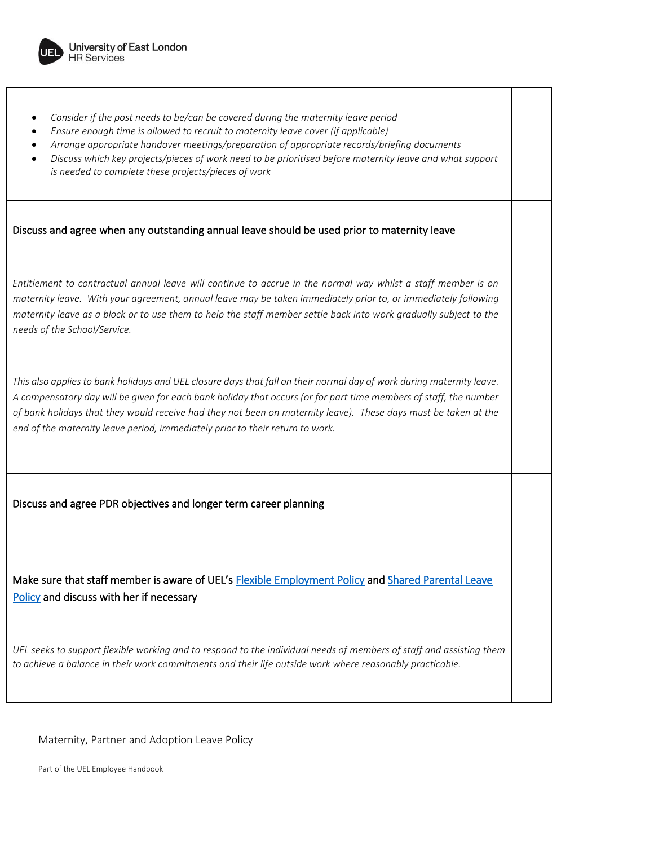

- *Consider if the post needs to be/can be covered during the maternity leave period*
- *Ensure enough time is allowed to recruit to maternity leave cover (if applicable)*
- *Arrange appropriate handover meetings/preparation of appropriate records/briefing documents*
- *Discuss which key projects/pieces of work need to be prioritised before maternity leave and what support is needed to complete these projects/pieces of work*

#### Discuss and agree when any outstanding annual leave should be used prior to maternity leave

*Entitlement to contractual annual leave will continue to accrue in the normal way whilst a staff member is on maternity leave. With your agreement, annual leave may be taken immediately prior to, or immediately following maternity leave as a block or to use them to help the staff member settle back into work gradually subject to the needs of the School/Service.* 

*This also applies to bank holidays and UEL closure days that fall on their normal day of work during maternity leave. A compensatory day will be given for each bank holiday that occurs (or for part time members of staff, the number of bank holidays that they would receive had they not been on maternity leave). These days must be taken at the end of the maternity leave period, immediately prior to their return to work.*

Discuss and agree PDR objectives and longer term career planning

Make sure that staff member is aware of UEL's Flexible Employment Policy and [Shared Parental Leave](https://uelac.sharepoint.com/HRServices/Documents/Employee%20Handbook%20-%20Policies%20uploaded/Shared%20Parental%20Leave%20Policy%20071016.docx?d=w328915791b8a4a8e9d406582cd1b23ae)  [Policy](https://uelac.sharepoint.com/HRServices/Documents/Employee%20Handbook%20-%20Policies%20uploaded/Shared%20Parental%20Leave%20Policy%20071016.docx?d=w328915791b8a4a8e9d406582cd1b23ae) and discuss with her if necessary

*UEL seeks to support flexible working and to respond to the individual needs of members of staff and assisting them to achieve a balance in their work commitments and their life outside work where reasonably practicable.*

Maternity, Partner and Adoption Leave Policy

Part of the UEL Employee Handbook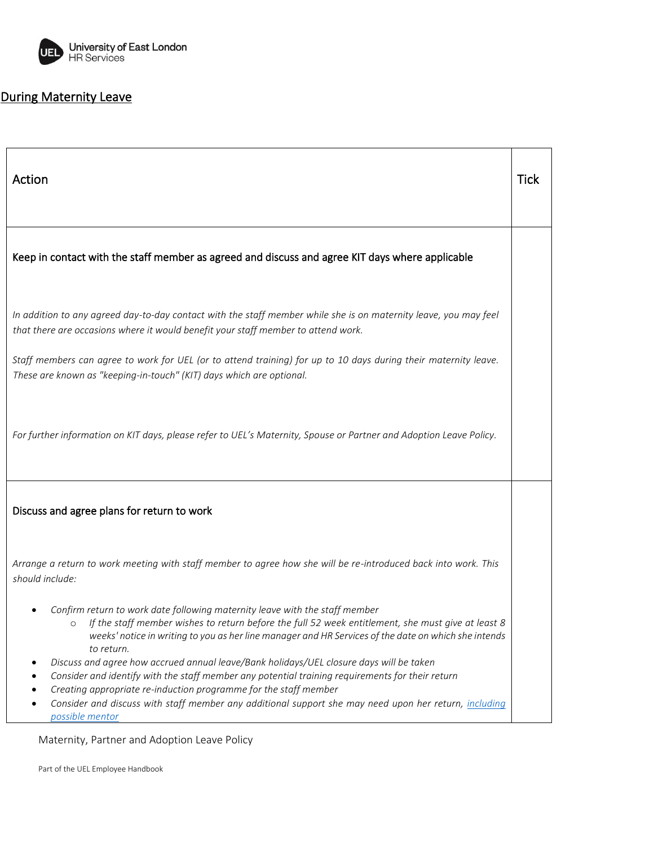

# During Maternity Leave

| Action                                                                                                                                                                                                                                                                                                                                                                                             | <b>Tick</b> |
|----------------------------------------------------------------------------------------------------------------------------------------------------------------------------------------------------------------------------------------------------------------------------------------------------------------------------------------------------------------------------------------------------|-------------|
| Keep in contact with the staff member as agreed and discuss and agree KIT days where applicable                                                                                                                                                                                                                                                                                                    |             |
| In addition to any agreed day-to-day contact with the staff member while she is on maternity leave, you may feel<br>that there are occasions where it would benefit your staff member to attend work.                                                                                                                                                                                              |             |
| Staff members can agree to work for UEL (or to attend training) for up to 10 days during their maternity leave.<br>These are known as "keeping-in-touch" (KIT) days which are optional.                                                                                                                                                                                                            |             |
| For further information on KIT days, please refer to UEL's Maternity, Spouse or Partner and Adoption Leave Policy.                                                                                                                                                                                                                                                                                 |             |
| Discuss and agree plans for return to work                                                                                                                                                                                                                                                                                                                                                         |             |
| Arrange a return to work meeting with staff member to agree how she will be re-introduced back into work. This<br>should include:                                                                                                                                                                                                                                                                  |             |
| Confirm return to work date following maternity leave with the staff member<br>If the staff member wishes to return before the full 52 week entitlement, she must give at least 8<br>weeks' notice in writing to you as her line manager and HR Services of the date on which she intends<br>to return.<br>Discuss and agree how accrued annual leave/Bank holidays/UEL closure days will be taken |             |
| Consider and identify with the staff member any potential training requirements for their return<br>Creating appropriate re-induction programme for the staff member<br>Consider and discuss with staff member any additional support she may need upon her return, including<br>possible mentor                                                                                                   |             |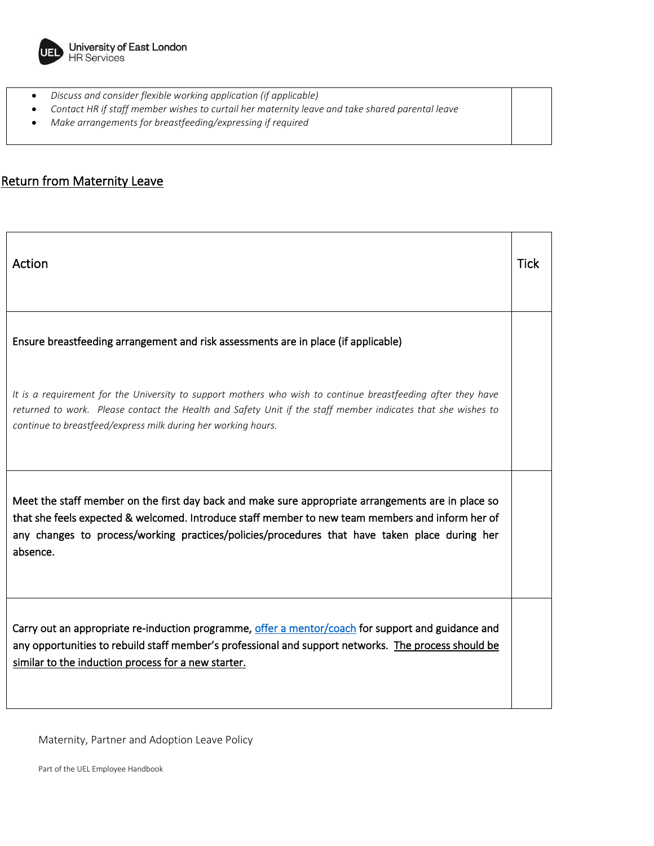

- *Discuss and consider flexible working application (if applicable)*
- *Contact HR if staff member wishes to curtail her maternity leave and take shared parental leave*
- *Make arrangements for breastfeeding/expressing if required*

# Return from Maternity Leave

| Action                                                                                                                                                                                                                                                                                                              | <b>Tick</b> |
|---------------------------------------------------------------------------------------------------------------------------------------------------------------------------------------------------------------------------------------------------------------------------------------------------------------------|-------------|
| Ensure breastfeeding arrangement and risk assessments are in place (if applicable)                                                                                                                                                                                                                                  |             |
| It is a requirement for the University to support mothers who wish to continue breastfeeding after they have<br>returned to work. Please contact the Health and Safety Unit if the staff member indicates that she wishes to<br>continue to breastfeed/express milk during her working hours.                       |             |
| Meet the staff member on the first day back and make sure appropriate arrangements are in place so<br>that she feels expected & welcomed. Introduce staff member to new team members and inform her of<br>any changes to process/working practices/policies/procedures that have taken place during her<br>absence. |             |
| Carry out an appropriate re-induction programme, offer a mentor/coach for support and guidance and<br>any opportunities to rebuild staff member's professional and support networks. The process should be<br>similar to the induction process for a new starter.                                                   |             |